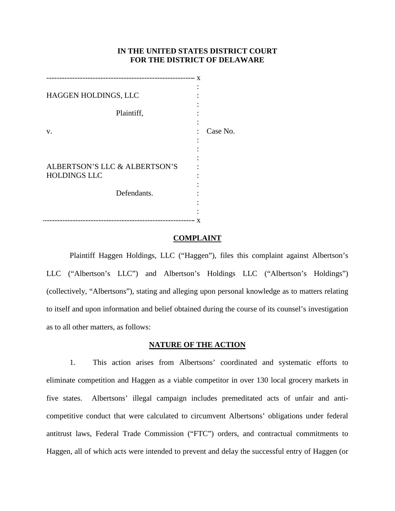## **IN THE UNITED STATES DISTRICT COURT FOR THE DISTRICT OF DELAWARE**

|                               | x |          |
|-------------------------------|---|----------|
| HAGGEN HOLDINGS, LLC          |   |          |
|                               |   |          |
| Plaintiff,                    |   |          |
|                               |   |          |
| v.                            |   | Case No. |
|                               |   |          |
|                               |   |          |
|                               |   |          |
| ALBERTSON'S LLC & ALBERTSON'S |   |          |
| <b>HOLDINGS LLC</b>           |   |          |
|                               |   |          |
| Defendants.                   |   |          |
|                               |   |          |
|                               |   |          |
|                               | x |          |

### **COMPLAINT**

Plaintiff Haggen Holdings, LLC ("Haggen"), files this complaint against Albertson's LLC ("Albertson's LLC") and Albertson's Holdings LLC ("Albertson's Holdings") (collectively, "Albertsons"), stating and alleging upon personal knowledge as to matters relating to itself and upon information and belief obtained during the course of its counsel's investigation as to all other matters, as follows:

### **NATURE OF THE ACTION**

1. This action arises from Albertsons' coordinated and systematic efforts to eliminate competition and Haggen as a viable competitor in over 130 local grocery markets in five states. Albertsons' illegal campaign includes premeditated acts of unfair and anticompetitive conduct that were calculated to circumvent Albertsons' obligations under federal antitrust laws, Federal Trade Commission ("FTC") orders, and contractual commitments to Haggen, all of which acts were intended to prevent and delay the successful entry of Haggen (or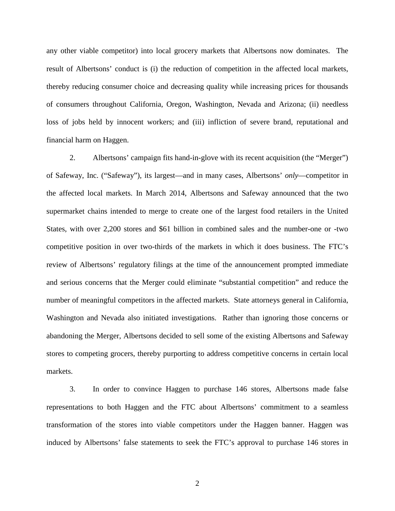any other viable competitor) into local grocery markets that Albertsons now dominates. The result of Albertsons' conduct is (i) the reduction of competition in the affected local markets, thereby reducing consumer choice and decreasing quality while increasing prices for thousands of consumers throughout California, Oregon, Washington, Nevada and Arizona; (ii) needless loss of jobs held by innocent workers; and (iii) infliction of severe brand, reputational and financial harm on Haggen.

2. Albertsons' campaign fits hand-in-glove with its recent acquisition (the "Merger") of Safeway, Inc. ("Safeway"), its largest—and in many cases, Albertsons' *only*—competitor in the affected local markets. In March 2014, Albertsons and Safeway announced that the two supermarket chains intended to merge to create one of the largest food retailers in the United States, with over 2,200 stores and \$61 billion in combined sales and the number-one or -two competitive position in over two-thirds of the markets in which it does business. The FTC's review of Albertsons' regulatory filings at the time of the announcement prompted immediate and serious concerns that the Merger could eliminate "substantial competition" and reduce the number of meaningful competitors in the affected markets. State attorneys general in California, Washington and Nevada also initiated investigations. Rather than ignoring those concerns or abandoning the Merger, Albertsons decided to sell some of the existing Albertsons and Safeway stores to competing grocers, thereby purporting to address competitive concerns in certain local markets.

3. In order to convince Haggen to purchase 146 stores, Albertsons made false representations to both Haggen and the FTC about Albertsons' commitment to a seamless transformation of the stores into viable competitors under the Haggen banner. Haggen was induced by Albertsons' false statements to seek the FTC's approval to purchase 146 stores in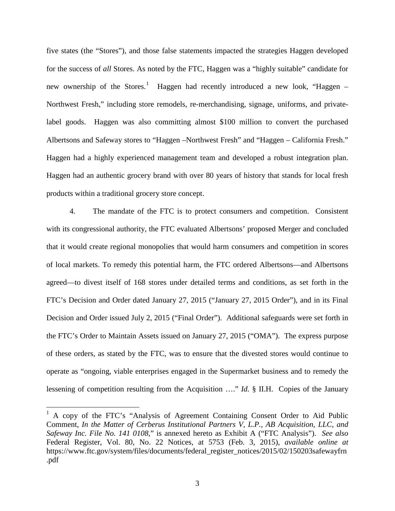five states (the "Stores"), and those false statements impacted the strategies Haggen developed for the success of *all* Stores. As noted by the FTC, Haggen was a "highly suitable" candidate for new ownership of the Stores.<sup>[1](#page-2-0)</sup> Haggen had recently introduced a new look, "Haggen – Northwest Fresh," including store remodels, re-merchandising, signage, uniforms, and privatelabel goods. Haggen was also committing almost \$100 million to convert the purchased Albertsons and Safeway stores to "Haggen –Northwest Fresh" and "Haggen – California Fresh." Haggen had a highly experienced management team and developed a robust integration plan. Haggen had an authentic grocery brand with over 80 years of history that stands for local fresh products within a traditional grocery store concept.

4. The mandate of the FTC is to protect consumers and competition. Consistent with its congressional authority, the FTC evaluated Albertsons' proposed Merger and concluded that it would create regional monopolies that would harm consumers and competition in scores of local markets. To remedy this potential harm, the FTC ordered Albertsons—and Albertsons agreed—to divest itself of 168 stores under detailed terms and conditions, as set forth in the FTC's Decision and Order dated January 27, 2015 ("January 27, 2015 Order"), and in its Final Decision and Order issued July 2, 2015 ("Final Order"). Additional safeguards were set forth in the FTC's Order to Maintain Assets issued on January 27, 2015 ("OMA"). The express purpose of these orders, as stated by the FTC, was to ensure that the divested stores would continue to operate as "ongoing, viable enterprises engaged in the Supermarket business and to remedy the lessening of competition resulting from the Acquisition …." *Id.* § II.H. Copies of the January

 $\overline{a}$ 

<span id="page-2-0"></span> $<sup>1</sup>$  A copy of the FTC's "Analysis of Agreement Containing Consent Order to Aid Public</sup> Comment, *In the Matter of Cerberus Institutional Partners V, L.P., AB Acquisition, LLC, and Safeway Inc. File No. 141 0108*," is annexed hereto as Exhibit A ("FTC Analysis"). *See also*  Federal Register, Vol. 80, No. 22 Notices, at 5753 (Feb. 3, 2015), *available online at* https://www.ftc.gov/system/files/documents/federal\_register\_notices/2015/02/150203safewayfrn .pdf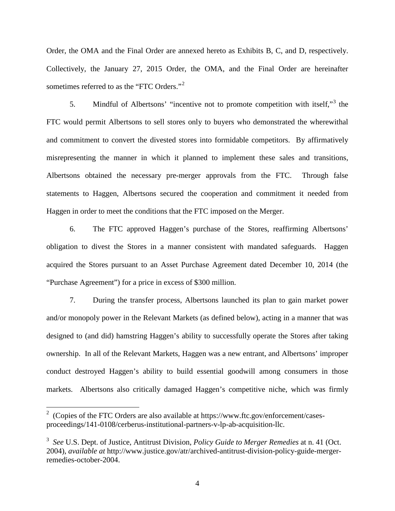Order, the OMA and the Final Order are annexed hereto as Exhibits B, C, and D, respectively. Collectively, the January 27, 2015 Order, the OMA, and the Final Order are hereinafter sometimes referred to as the "FTC Orders."<sup>[2](#page-3-0)</sup>

5. Mindful of Albertsons' "incentive not to promote competition with itself,"[3](#page-3-1) the FTC would permit Albertsons to sell stores only to buyers who demonstrated the wherewithal and commitment to convert the divested stores into formidable competitors. By affirmatively misrepresenting the manner in which it planned to implement these sales and transitions, Albertsons obtained the necessary pre-merger approvals from the FTC. Through false statements to Haggen, Albertsons secured the cooperation and commitment it needed from Haggen in order to meet the conditions that the FTC imposed on the Merger.

6. The FTC approved Haggen's purchase of the Stores, reaffirming Albertsons' obligation to divest the Stores in a manner consistent with mandated safeguards. Haggen acquired the Stores pursuant to an Asset Purchase Agreement dated December 10, 2014 (the "Purchase Agreement") for a price in excess of \$300 million.

7. During the transfer process, Albertsons launched its plan to gain market power and/or monopoly power in the Relevant Markets (as defined below), acting in a manner that was designed to (and did) hamstring Haggen's ability to successfully operate the Stores after taking ownership. In all of the Relevant Markets, Haggen was a new entrant, and Albertsons' improper conduct destroyed Haggen's ability to build essential goodwill among consumers in those markets. Albertsons also critically damaged Haggen's competitive niche, which was firmly

 $\overline{a}$ 

<span id="page-3-0"></span><sup>&</sup>lt;sup>2</sup> (Copies of the FTC Orders are also available at https://www.ftc.gov/enforcement/casesproceedings/141-0108/cerberus-institutional-partners-v-lp-ab-acquisition-llc.

<span id="page-3-1"></span><sup>3</sup> *See* U.S. Dept. of Justice, Antitrust Division, *Policy Guide to Merger Remedies* at n. 41 (Oct. 2004), *available at* http://www.justice.gov/atr/archived-antitrust-division-policy-guide-mergerremedies-october-2004.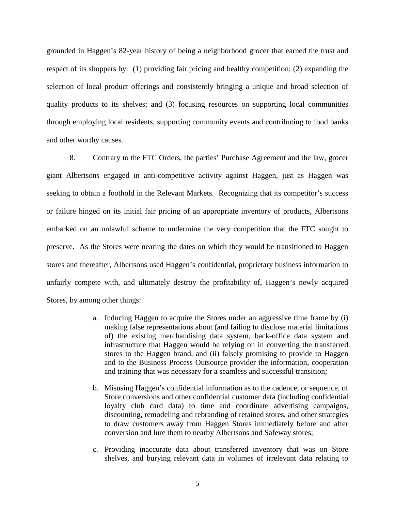grounded in Haggen's 82-year history of being a neighborhood grocer that earned the trust and respect of its shoppers by: (1) providing fair pricing and healthy competition; (2) expanding the selection of local product offerings and consistently bringing a unique and broad selection of quality products to its shelves; and (3) focusing resources on supporting local communities through employing local residents, supporting community events and contributing to food banks and other worthy causes.

8. Contrary to the FTC Orders, the parties' Purchase Agreement and the law, grocer giant Albertsons engaged in anti-competitive activity against Haggen, just as Haggen was seeking to obtain a foothold in the Relevant Markets. Recognizing that its competitor's success or failure hinged on its initial fair pricing of an appropriate inventory of products, Albertsons embarked on an unlawful scheme to undermine the very competition that the FTC sought to preserve. As the Stores were nearing the dates on which they would be transitioned to Haggen stores and thereafter, Albertsons used Haggen's confidential, proprietary business information to unfairly compete with, and ultimately destroy the profitability of, Haggen's newly acquired Stores, by among other things:

- a. Inducing Haggen to acquire the Stores under an aggressive time frame by (i) making false representations about (and failing to disclose material limitations of) the existing merchandising data system, back-office data system and infrastructure that Haggen would be relying on in converting the transferred stores to the Haggen brand, and (ii) falsely promising to provide to Haggen and to the Business Process Outsource provider the information, cooperation and training that was necessary for a seamless and successful transition;
- b. Misusing Haggen's confidential information as to the cadence, or sequence, of Store conversions and other confidential customer data (including confidential loyalty club card data) to time and coordinate advertising campaigns, discounting, remodeling and rebranding of retained stores, and other strategies to draw customers away from Haggen Stores immediately before and after conversion and lure them to nearby Albertsons and Safeway stores;
- c. Providing inaccurate data about transferred inventory that was on Store shelves, and burying relevant data in volumes of irrelevant data relating to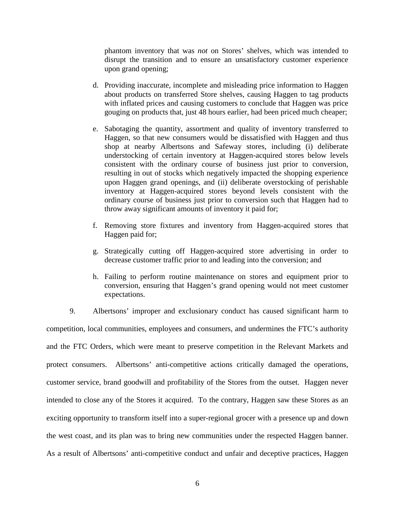phantom inventory that was *not* on Stores' shelves, which was intended to disrupt the transition and to ensure an unsatisfactory customer experience upon grand opening;

- d. Providing inaccurate, incomplete and misleading price information to Haggen about products on transferred Store shelves, causing Haggen to tag products with inflated prices and causing customers to conclude that Haggen was price gouging on products that, just 48 hours earlier, had been priced much cheaper;
- e. Sabotaging the quantity, assortment and quality of inventory transferred to Haggen, so that new consumers would be dissatisfied with Haggen and thus shop at nearby Albertsons and Safeway stores, including (i) deliberate understocking of certain inventory at Haggen-acquired stores below levels consistent with the ordinary course of business just prior to conversion, resulting in out of stocks which negatively impacted the shopping experience upon Haggen grand openings, and (ii) deliberate overstocking of perishable inventory at Haggen-acquired stores beyond levels consistent with the ordinary course of business just prior to conversion such that Haggen had to throw away significant amounts of inventory it paid for;
- f. Removing store fixtures and inventory from Haggen-acquired stores that Haggen paid for;
- g. Strategically cutting off Haggen-acquired store advertising in order to decrease customer traffic prior to and leading into the conversion; and
- h. Failing to perform routine maintenance on stores and equipment prior to conversion, ensuring that Haggen's grand opening would not meet customer expectations.

9. Albertsons' improper and exclusionary conduct has caused significant harm to competition, local communities, employees and consumers, and undermines the FTC's authority and the FTC Orders, which were meant to preserve competition in the Relevant Markets and protect consumers. Albertsons' anti-competitive actions critically damaged the operations, customer service, brand goodwill and profitability of the Stores from the outset. Haggen never intended to close any of the Stores it acquired. To the contrary, Haggen saw these Stores as an exciting opportunity to transform itself into a super-regional grocer with a presence up and down the west coast, and its plan was to bring new communities under the respected Haggen banner. As a result of Albertsons' anti-competitive conduct and unfair and deceptive practices, Haggen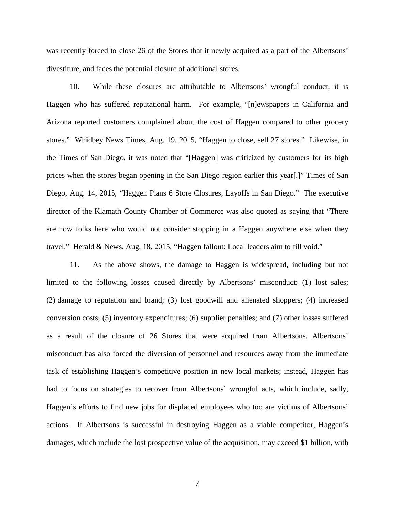was recently forced to close 26 of the Stores that it newly acquired as a part of the Albertsons' divestiture, and faces the potential closure of additional stores.

10. While these closures are attributable to Albertsons' wrongful conduct, it is Haggen who has suffered reputational harm. For example, "[n]ewspapers in California and Arizona reported customers complained about the cost of Haggen compared to other grocery stores." Whidbey News Times, Aug. 19, 2015, "Haggen to close, sell 27 stores." Likewise, in the Times of San Diego, it was noted that "[Haggen] was criticized by customers for its high prices when the stores began opening in the San Diego region earlier this year[.]" Times of San Diego, Aug. 14, 2015, "Haggen Plans 6 Store Closures, Layoffs in San Diego." The executive director of the Klamath County Chamber of Commerce was also quoted as saying that "There are now folks here who would not consider stopping in a Haggen anywhere else when they travel." Herald & News, Aug. 18, 2015, "Haggen fallout: Local leaders aim to fill void."

11. As the above shows, the damage to Haggen is widespread, including but not limited to the following losses caused directly by Albertsons' misconduct: (1) lost sales; (2) damage to reputation and brand; (3) lost goodwill and alienated shoppers; (4) increased conversion costs; (5) inventory expenditures; (6) supplier penalties; and (7) other losses suffered as a result of the closure of 26 Stores that were acquired from Albertsons. Albertsons' misconduct has also forced the diversion of personnel and resources away from the immediate task of establishing Haggen's competitive position in new local markets; instead, Haggen has had to focus on strategies to recover from Albertsons' wrongful acts, which include, sadly, Haggen's efforts to find new jobs for displaced employees who too are victims of Albertsons' actions. If Albertsons is successful in destroying Haggen as a viable competitor, Haggen's damages, which include the lost prospective value of the acquisition, may exceed \$1 billion, with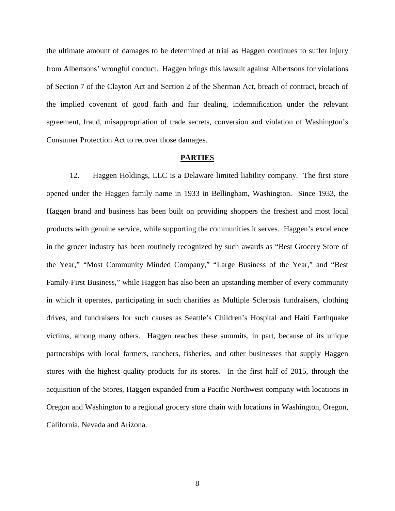the ultimate amount of damages to be determined at trial as Haggen continues to suffer injury from Albertsons' wrongful conduct. Haggen brings this lawsuit against Albertsons for violations of Section 7 of the Clayton Act and Section 2 of the Sherman Act, breach of contract, breach of the implied covenant of good faith and fair dealing, indemnification under the relevant agreement, fraud, misappropriation of trade secrets, conversion and violation of Washington's Consumer Protection Act to recover those damages.

#### **PARTIES**

12. Haggen Holdings, LLC is a Delaware limited liability company. The first store opened under the Haggen family name in 1933 in Bellingham, Washington. Since 1933, the Haggen brand and business has been built on providing shoppers the freshest and most local products with genuine service, while supporting the communities it serves. Haggen's excellence in the grocer industry has been routinely recognized by such awards as "Best Grocery Store of the Year," "Most Community Minded Company," "Large Business of the Year," and "Best Family-First Business," while Haggen has also been an upstanding member of every community in which it operates, participating in such charities as Multiple Sclerosis fundraisers, clothing drives, and fundraisers for such causes as Seattle's Children's Hospital and Haiti Earthquake victims, among many others. Haggen reaches these summits, in part, because of its unique partnerships with local farmers, ranchers, fisheries, and other businesses that supply Haggen stores with the highest quality products for its stores. In the first half of 2015, through the acquisition of the Stores, Haggen expanded from a Pacific Northwest company with locations in Oregon and Washington to a regional grocery store chain with locations in Washington, Oregon, California, Nevada and Arizona.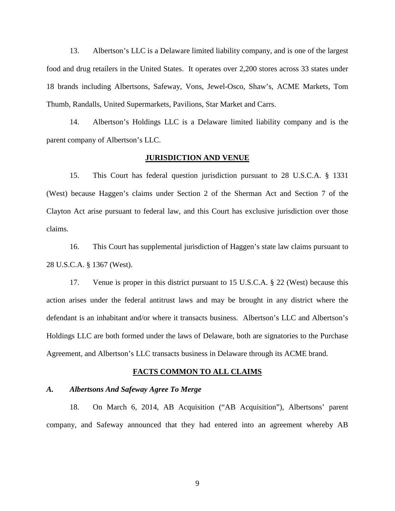13. Albertson's LLC is a Delaware limited liability company, and is one of the largest food and drug retailers in the United States. It operates over 2,200 stores across 33 states under 18 brands including Albertsons, Safeway, Vons, Jewel-Osco, Shaw's, ACME Markets, Tom Thumb, Randalls, United Supermarkets, Pavilions, Star Market and Carrs.

14. Albertson's Holdings LLC is a Delaware limited liability company and is the parent company of Albertson's LLC.

### **JURISDICTION AND VENUE**

15. This Court has federal question jurisdiction pursuant to 28 U.S.C.A. § 1331 (West) because Haggen's claims under Section 2 of the Sherman Act and Section 7 of the Clayton Act arise pursuant to federal law, and this Court has exclusive jurisdiction over those claims.

16. This Court has supplemental jurisdiction of Haggen's state law claims pursuant to 28 U.S.C.A. § 1367 (West).

17. Venue is proper in this district pursuant to 15 U.S.C.A. § 22 (West) because this action arises under the federal antitrust laws and may be brought in any district where the defendant is an inhabitant and/or where it transacts business. Albertson's LLC and Albertson's Holdings LLC are both formed under the laws of Delaware, both are signatories to the Purchase Agreement, and Albertson's LLC transacts business in Delaware through its ACME brand.

#### **FACTS COMMON TO ALL CLAIMS**

#### *A. Albertsons And Safeway Agree To Merge*

18. On March 6, 2014, AB Acquisition ("AB Acquisition"), Albertsons' parent company, and Safeway announced that they had entered into an agreement whereby AB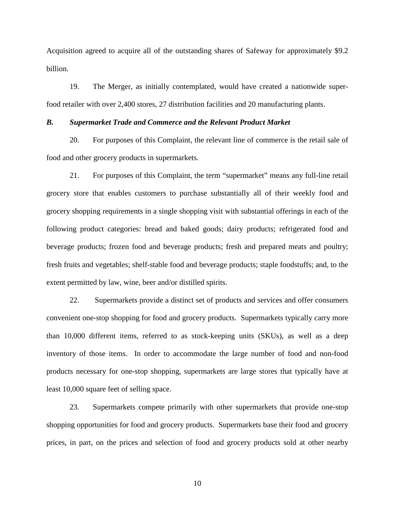Acquisition agreed to acquire all of the outstanding shares of Safeway for approximately \$9.2 billion.

19. The Merger, as initially contemplated, would have created a nationwide superfood retailer with over 2,400 stores, 27 distribution facilities and 20 manufacturing plants.

### *B. Supermarket Trade and Commerce and the Relevant Product Market*

20. For purposes of this Complaint, the relevant line of commerce is the retail sale of food and other grocery products in supermarkets.

21. For purposes of this Complaint, the term "supermarket" means any full-line retail grocery store that enables customers to purchase substantially all of their weekly food and grocery shopping requirements in a single shopping visit with substantial offerings in each of the following product categories: bread and baked goods; dairy products; refrigerated food and beverage products; frozen food and beverage products; fresh and prepared meats and poultry; fresh fruits and vegetables; shelf-stable food and beverage products; staple foodstuffs; and, to the extent permitted by law, wine, beer and/or distilled spirits.

22. Supermarkets provide a distinct set of products and services and offer consumers convenient one-stop shopping for food and grocery products. Supermarkets typically carry more than 10,000 different items, referred to as stock-keeping units (SKUs), as well as a deep inventory of those items. In order to accommodate the large number of food and non-food products necessary for one-stop shopping, supermarkets are large stores that typically have at least 10,000 square feet of selling space.

23. Supermarkets compete primarily with other supermarkets that provide one-stop shopping opportunities for food and grocery products. Supermarkets base their food and grocery prices, in part, on the prices and selection of food and grocery products sold at other nearby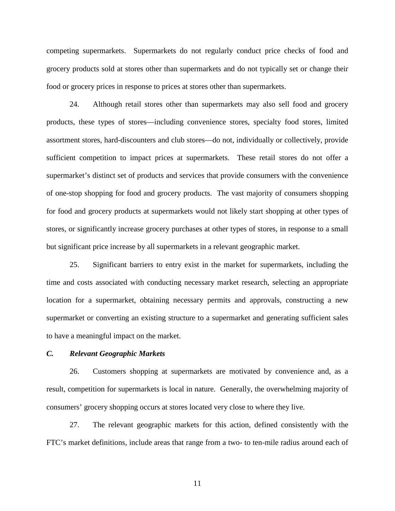competing supermarkets. Supermarkets do not regularly conduct price checks of food and grocery products sold at stores other than supermarkets and do not typically set or change their food or grocery prices in response to prices at stores other than supermarkets.

24. Although retail stores other than supermarkets may also sell food and grocery products, these types of stores—including convenience stores, specialty food stores, limited assortment stores, hard-discounters and club stores—do not, individually or collectively, provide sufficient competition to impact prices at supermarkets. These retail stores do not offer a supermarket's distinct set of products and services that provide consumers with the convenience of one-stop shopping for food and grocery products. The vast majority of consumers shopping for food and grocery products at supermarkets would not likely start shopping at other types of stores, or significantly increase grocery purchases at other types of stores, in response to a small but significant price increase by all supermarkets in a relevant geographic market.

25. Significant barriers to entry exist in the market for supermarkets, including the time and costs associated with conducting necessary market research, selecting an appropriate location for a supermarket, obtaining necessary permits and approvals, constructing a new supermarket or converting an existing structure to a supermarket and generating sufficient sales to have a meaningful impact on the market.

### *C. Relevant Geographic Markets*

26. Customers shopping at supermarkets are motivated by convenience and, as a result, competition for supermarkets is local in nature. Generally, the overwhelming majority of consumers' grocery shopping occurs at stores located very close to where they live.

27. The relevant geographic markets for this action, defined consistently with the FTC's market definitions, include areas that range from a two- to ten-mile radius around each of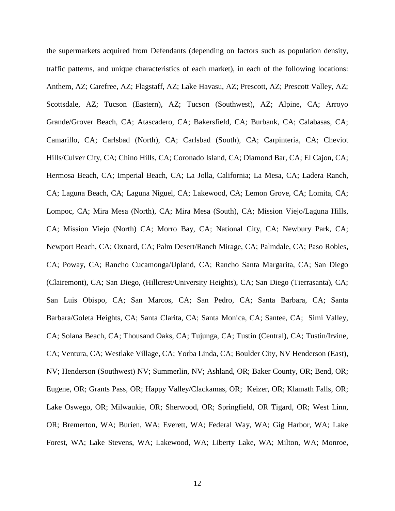the supermarkets acquired from Defendants (depending on factors such as population density, traffic patterns, and unique characteristics of each market), in each of the following locations: Anthem, AZ; Carefree, AZ; Flagstaff, AZ; Lake Havasu, AZ; Prescott, AZ; Prescott Valley, AZ; Scottsdale, AZ; Tucson (Eastern), AZ; Tucson (Southwest), AZ; Alpine, CA; Arroyo Grande/Grover Beach, CA; Atascadero, CA; Bakersfield, CA; Burbank, CA; Calabasas, CA; Camarillo, CA; Carlsbad (North), CA; Carlsbad (South), CA; Carpinteria, CA; Cheviot Hills/Culver City, CA; Chino Hills, CA; Coronado Island, CA; Diamond Bar, CA; El Cajon, CA; Hermosa Beach, CA; Imperial Beach, CA; La Jolla, California; La Mesa, CA; Ladera Ranch, CA; Laguna Beach, CA; Laguna Niguel, CA; Lakewood, CA; Lemon Grove, CA; Lomita, CA; Lompoc, CA; Mira Mesa (North), CA; Mira Mesa (South), CA; Mission Viejo/Laguna Hills, CA; Mission Viejo (North) CA; Morro Bay, CA; National City, CA; Newbury Park, CA; Newport Beach, CA; Oxnard, CA; Palm Desert/Ranch Mirage, CA; Palmdale, CA; Paso Robles, CA; Poway, CA; Rancho Cucamonga/Upland, CA; Rancho Santa Margarita, CA; San Diego (Clairemont), CA; San Diego, (Hillcrest/University Heights), CA; San Diego (Tierrasanta), CA; San Luis Obispo, CA; San Marcos, CA; San Pedro, CA; Santa Barbara, CA; Santa Barbara/Goleta Heights, CA; Santa Clarita, CA; Santa Monica, CA; Santee, CA; Simi Valley, CA; Solana Beach, CA; Thousand Oaks, CA; Tujunga, CA; Tustin (Central), CA; Tustin/Irvine, CA; Ventura, CA; Westlake Village, CA; Yorba Linda, CA; Boulder City, NV Henderson (East), NV; Henderson (Southwest) NV; Summerlin, NV; Ashland, OR; Baker County, OR; Bend, OR; Eugene, OR; Grants Pass, OR; Happy Valley/Clackamas, OR; Keizer, OR; Klamath Falls, OR; Lake Oswego, OR; Milwaukie, OR; Sherwood, OR; Springfield, OR Tigard, OR; West Linn, OR; Bremerton, WA; Burien, WA; Everett, WA; Federal Way, WA; Gig Harbor, WA; Lake Forest, WA; Lake Stevens, WA; Lakewood, WA; Liberty Lake, WA; Milton, WA; Monroe,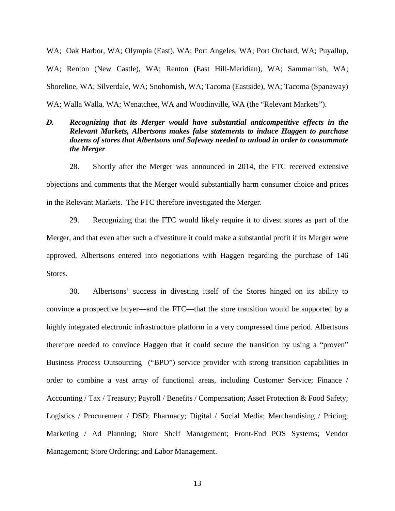WA; Oak Harbor, WA; Olympia (East), WA; Port Angeles, WA; Port Orchard, WA; Puyallup, WA; Renton (New Castle), WA; Renton (East Hill-Meridian), WA; Sammamish, WA; Shoreline, WA; Silverdale, WA; Snohomish, WA; Tacoma (Eastside), WA; Tacoma (Spanaway) WA; Walla Walla, WA; Wenatchee, WA and Woodinville, WA (the "Relevant Markets").

# *D. Recognizing that its Merger would have substantial anticompetitive effects in the Relevant Markets, Albertsons makes false statements to induce Haggen to purchase dozens of stores that Albertsons and Safeway needed to unload in order to consummate the Merger*

28. Shortly after the Merger was announced in 2014, the FTC received extensive objections and comments that the Merger would substantially harm consumer choice and prices in the Relevant Markets. The FTC therefore investigated the Merger.

29. Recognizing that the FTC would likely require it to divest stores as part of the Merger, and that even after such a divestiture it could make a substantial profit if its Merger were approved, Albertsons entered into negotiations with Haggen regarding the purchase of 146 Stores.

30. Albertsons' success in divesting itself of the Stores hinged on its ability to convince a prospective buyer—and the FTC—that the store transition would be supported by a highly integrated electronic infrastructure platform in a very compressed time period. Albertsons therefore needed to convince Haggen that it could secure the transition by using a "proven" Business Process Outsourcing ("BPO") service provider with strong transition capabilities in order to combine a vast array of functional areas, including Customer Service; Finance / Accounting / Tax / Treasury; Payroll / Benefits / Compensation; Asset Protection & Food Safety; Logistics / Procurement / DSD; Pharmacy; Digital / Social Media; Merchandising / Pricing; Marketing / Ad Planning; Store Shelf Management; Front-End POS Systems; Vendor Management; Store Ordering; and Labor Management.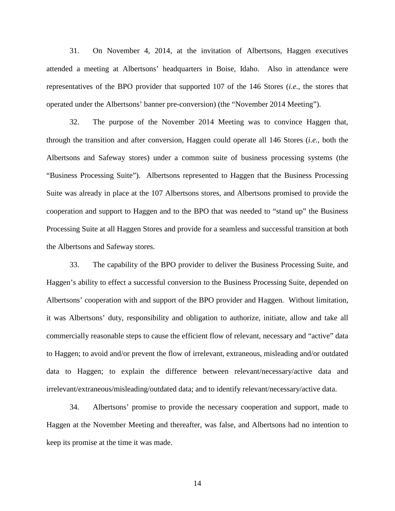31. On November 4, 2014, at the invitation of Albertsons, Haggen executives attended a meeting at Albertsons' headquarters in Boise, Idaho. Also in attendance were representatives of the BPO provider that supported 107 of the 146 Stores (*i.e.,* the stores that operated under the Albertsons' banner pre-conversion) (the "November 2014 Meeting").

32. The purpose of the November 2014 Meeting was to convince Haggen that, through the transition and after conversion, Haggen could operate all 146 Stores (*i.e.,* both the Albertsons and Safeway stores) under a common suite of business processing systems (the "Business Processing Suite"). Albertsons represented to Haggen that the Business Processing Suite was already in place at the 107 Albertsons stores, and Albertsons promised to provide the cooperation and support to Haggen and to the BPO that was needed to "stand up" the Business Processing Suite at all Haggen Stores and provide for a seamless and successful transition at both the Albertsons and Safeway stores.

33. The capability of the BPO provider to deliver the Business Processing Suite, and Haggen's ability to effect a successful conversion to the Business Processing Suite, depended on Albertsons' cooperation with and support of the BPO provider and Haggen. Without limitation, it was Albertsons' duty, responsibility and obligation to authorize, initiate, allow and take all commercially reasonable steps to cause the efficient flow of relevant, necessary and "active" data to Haggen; to avoid and/or prevent the flow of irrelevant, extraneous, misleading and/or outdated data to Haggen; to explain the difference between relevant/necessary/active data and irrelevant/extraneous/misleading/outdated data; and to identify relevant/necessary/active data.

34. Albertsons' promise to provide the necessary cooperation and support, made to Haggen at the November Meeting and thereafter, was false, and Albertsons had no intention to keep its promise at the time it was made.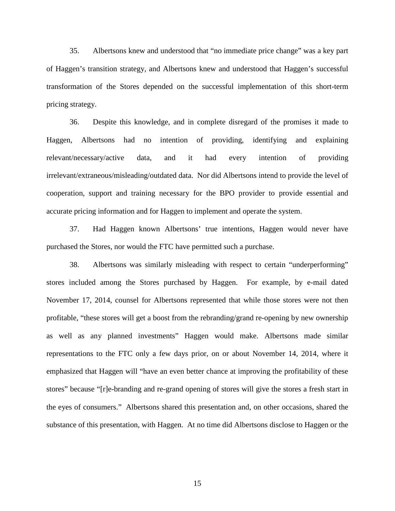35. Albertsons knew and understood that "no immediate price change" was a key part of Haggen's transition strategy, and Albertsons knew and understood that Haggen's successful transformation of the Stores depended on the successful implementation of this short-term pricing strategy.

36. Despite this knowledge, and in complete disregard of the promises it made to Haggen, Albertsons had no intention of providing, identifying and explaining relevant/necessary/active data, and it had every intention of providing irrelevant/extraneous/misleading/outdated data. Nor did Albertsons intend to provide the level of cooperation, support and training necessary for the BPO provider to provide essential and accurate pricing information and for Haggen to implement and operate the system.

37. Had Haggen known Albertsons' true intentions, Haggen would never have purchased the Stores, nor would the FTC have permitted such a purchase.

38. Albertsons was similarly misleading with respect to certain "underperforming" stores included among the Stores purchased by Haggen. For example, by e-mail dated November 17, 2014, counsel for Albertsons represented that while those stores were not then profitable, "these stores will get a boost from the rebranding/grand re-opening by new ownership as well as any planned investments" Haggen would make. Albertsons made similar representations to the FTC only a few days prior, on or about November 14, 2014, where it emphasized that Haggen will "have an even better chance at improving the profitability of these stores" because "[r]e-branding and re-grand opening of stores will give the stores a fresh start in the eyes of consumers." Albertsons shared this presentation and, on other occasions, shared the substance of this presentation, with Haggen. At no time did Albertsons disclose to Haggen or the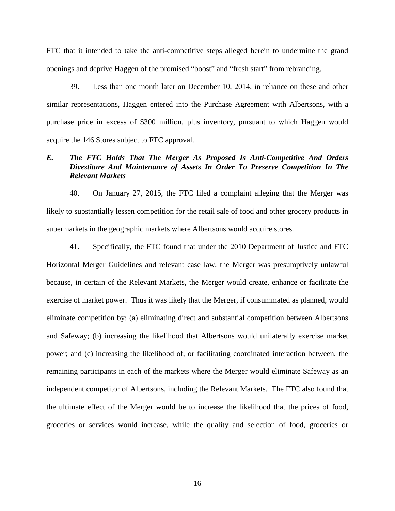FTC that it intended to take the anti-competitive steps alleged herein to undermine the grand openings and deprive Haggen of the promised "boost" and "fresh start" from rebranding.

39. Less than one month later on December 10, 2014, in reliance on these and other similar representations, Haggen entered into the Purchase Agreement with Albertsons, with a purchase price in excess of \$300 million, plus inventory, pursuant to which Haggen would acquire the 146 Stores subject to FTC approval.

# *E. The FTC Holds That The Merger As Proposed Is Anti-Competitive And Orders Divestiture And Maintenance of Assets In Order To Preserve Competition In The Relevant Markets*

40. On January 27, 2015, the FTC filed a complaint alleging that the Merger was likely to substantially lessen competition for the retail sale of food and other grocery products in supermarkets in the geographic markets where Albertsons would acquire stores.

41. Specifically, the FTC found that under the 2010 Department of Justice and FTC Horizontal Merger Guidelines and relevant case law, the Merger was presumptively unlawful because, in certain of the Relevant Markets, the Merger would create, enhance or facilitate the exercise of market power. Thus it was likely that the Merger, if consummated as planned, would eliminate competition by: (a) eliminating direct and substantial competition between Albertsons and Safeway; (b) increasing the likelihood that Albertsons would unilaterally exercise market power; and (c) increasing the likelihood of, or facilitating coordinated interaction between, the remaining participants in each of the markets where the Merger would eliminate Safeway as an independent competitor of Albertsons, including the Relevant Markets. The FTC also found that the ultimate effect of the Merger would be to increase the likelihood that the prices of food, groceries or services would increase, while the quality and selection of food, groceries or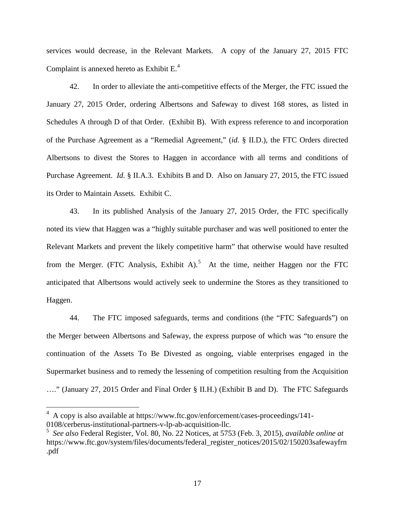services would decrease, in the Relevant Markets. A copy of the January 27, 2015 FTC Complaint is annexed hereto as Exhibit  $E<sup>4</sup>$  $E<sup>4</sup>$  $E<sup>4</sup>$ .

42. In order to alleviate the anti-competitive effects of the Merger, the FTC issued the January 27, 2015 Order, ordering Albertsons and Safeway to divest 168 stores, as listed in Schedules A through D of that Order. (Exhibit B). With express reference to and incorporation of the Purchase Agreement as a "Remedial Agreement," (*id.* § II.D.), the FTC Orders directed Albertsons to divest the Stores to Haggen in accordance with all terms and conditions of Purchase Agreement. *Id.* § II.A.3. Exhibits B and D. Also on January 27, 2015, the FTC issued its Order to Maintain Assets. Exhibit C.

43. In its published Analysis of the January 27, 2015 Order, the FTC specifically noted its view that Haggen was a "highly suitable purchaser and was well positioned to enter the Relevant Markets and prevent the likely competitive harm" that otherwise would have resulted from the Merger. (FTC Analysis, Exhibit A).<sup>[5](#page-16-1)</sup> At the time, neither Haggen nor the FTC anticipated that Albertsons would actively seek to undermine the Stores as they transitioned to Haggen.

44. The FTC imposed safeguards, terms and conditions (the "FTC Safeguards") on the Merger between Albertsons and Safeway, the express purpose of which was "to ensure the continuation of the Assets To Be Divested as ongoing, viable enterprises engaged in the Supermarket business and to remedy the lessening of competition resulting from the Acquisition …." (January 27, 2015 Order and Final Order § II.H.) (Exhibit B and D). The FTC Safeguards

 $\overline{a}$ 

<span id="page-16-0"></span><sup>&</sup>lt;sup>4</sup> A copy is also available at https://www.ftc.gov/enforcement/cases-proceedings/141-0108/cerberus-institutional-partners-v-lp-ab-acquisition-llc.

<span id="page-16-1"></span><sup>5</sup> *See also* Federal Register, Vol. 80, No. 22 Notices, at 5753 (Feb. 3, 2015), *available online at* https://www.ftc.gov/system/files/documents/federal\_register\_notices/2015/02/150203safewayfrn .pdf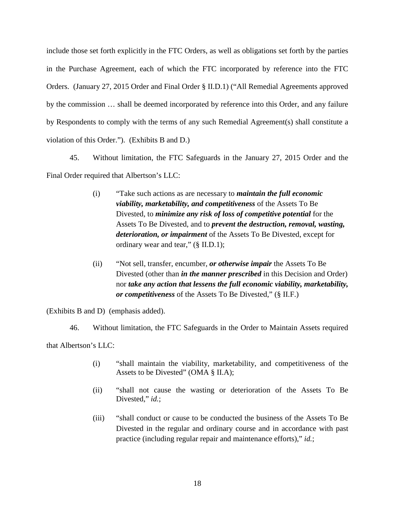include those set forth explicitly in the FTC Orders, as well as obligations set forth by the parties in the Purchase Agreement, each of which the FTC incorporated by reference into the FTC Orders. (January 27, 2015 Order and Final Order § II.D.1) ("All Remedial Agreements approved by the commission … shall be deemed incorporated by reference into this Order, and any failure by Respondents to comply with the terms of any such Remedial Agreement(s) shall constitute a violation of this Order."). (Exhibits B and D.)

45. Without limitation, the FTC Safeguards in the January 27, 2015 Order and the Final Order required that Albertson's LLC:

- (i) "Take such actions as are necessary to *maintain the full economic viability, marketability, and competitiveness* of the Assets To Be Divested, to *minimize any risk of loss of competitive potential* for the Assets To Be Divested, and to *prevent the destruction, removal, wasting, deterioration, or impairment* of the Assets To Be Divested, except for ordinary wear and tear," (§ II.D.1);
- (ii) "Not sell, transfer, encumber, *or otherwise impair* the Assets To Be Divested (other than *in the manner prescribed* in this Decision and Order) nor *take any action that lessens the full economic viability, marketability, or competitiveness* of the Assets To Be Divested," (§ II.F.)

(Exhibits B and D) (emphasis added).

46. Without limitation, the FTC Safeguards in the Order to Maintain Assets required that Albertson's LLC:

- (i) "shall maintain the viability, marketability, and competitiveness of the Assets to be Divested" (OMA § II.A);
- (ii) "shall not cause the wasting or deterioration of the Assets To Be Divested," *id.*;
- (iii) "shall conduct or cause to be conducted the business of the Assets To Be Divested in the regular and ordinary course and in accordance with past practice (including regular repair and maintenance efforts)," *id.*;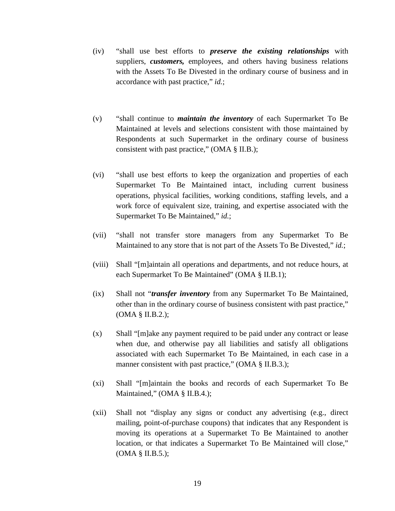- (iv) "shall use best efforts to *preserve the existing relationships* with suppliers, *customers,* employees, and others having business relations with the Assets To Be Divested in the ordinary course of business and in accordance with past practice," *id.*;
- (v) "shall continue to *maintain the inventory* of each Supermarket To Be Maintained at levels and selections consistent with those maintained by Respondents at such Supermarket in the ordinary course of business consistent with past practice," (OMA § II.B.);
- (vi) "shall use best efforts to keep the organization and properties of each Supermarket To Be Maintained intact, including current business operations, physical facilities, working conditions, staffing levels, and a work force of equivalent size, training, and expertise associated with the Supermarket To Be Maintained," *id.*;
- (vii) "shall not transfer store managers from any Supermarket To Be Maintained to any store that is not part of the Assets To Be Divested," *id.*;
- (viii) Shall "[m]aintain all operations and departments, and not reduce hours, at each Supermarket To Be Maintained" (OMA § II.B.1);
- (ix) Shall not "*transfer inventory* from any Supermarket To Be Maintained, other than in the ordinary course of business consistent with past practice,"  $(OMA § II.B.2.);$
- (x) Shall "[m]ake any payment required to be paid under any contract or lease when due, and otherwise pay all liabilities and satisfy all obligations associated with each Supermarket To Be Maintained, in each case in a manner consistent with past practice," (OMA § II.B.3.);
- (xi) Shall "[m]aintain the books and records of each Supermarket To Be Maintained," (OMA § II.B.4.);
- (xii) Shall not "display any signs or conduct any advertising (e.g., direct mailing, point-of-purchase coupons) that indicates that any Respondent is moving its operations at a Supermarket To Be Maintained to another location, or that indicates a Supermarket To Be Maintained will close," (OMA § II.B.5.);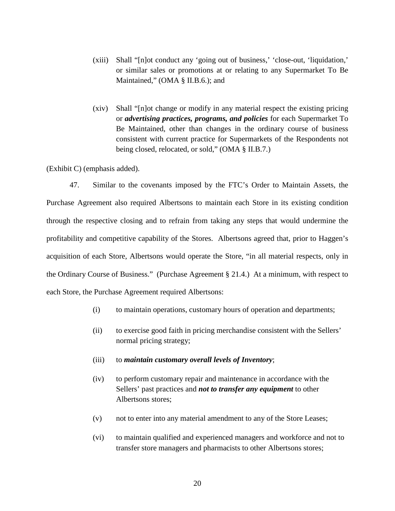- (xiii) Shall "[n]ot conduct any 'going out of business,' 'close-out, 'liquidation,' or similar sales or promotions at or relating to any Supermarket To Be Maintained," (OMA § II.B.6.); and
- (xiv) Shall "[n]ot change or modify in any material respect the existing pricing or *advertising practices, programs, and policies* for each Supermarket To Be Maintained, other than changes in the ordinary course of business consistent with current practice for Supermarkets of the Respondents not being closed, relocated, or sold," (OMA § II.B.7.)

(Exhibit C) (emphasis added).

47. Similar to the covenants imposed by the FTC's Order to Maintain Assets, the Purchase Agreement also required Albertsons to maintain each Store in its existing condition through the respective closing and to refrain from taking any steps that would undermine the profitability and competitive capability of the Stores. Albertsons agreed that, prior to Haggen's acquisition of each Store, Albertsons would operate the Store, "in all material respects, only in the Ordinary Course of Business." (Purchase Agreement § 21.4.) At a minimum, with respect to each Store, the Purchase Agreement required Albertsons:

- (i) to maintain operations, customary hours of operation and departments;
- (ii) to exercise good faith in pricing merchandise consistent with the Sellers' normal pricing strategy;
- (iii) to *maintain customary overall levels of Inventory*;
- (iv) to perform customary repair and maintenance in accordance with the Sellers' past practices and *not to transfer any equipment* to other Albertsons stores;
- (v) not to enter into any material amendment to any of the Store Leases;
- (vi) to maintain qualified and experienced managers and workforce and not to transfer store managers and pharmacists to other Albertsons stores;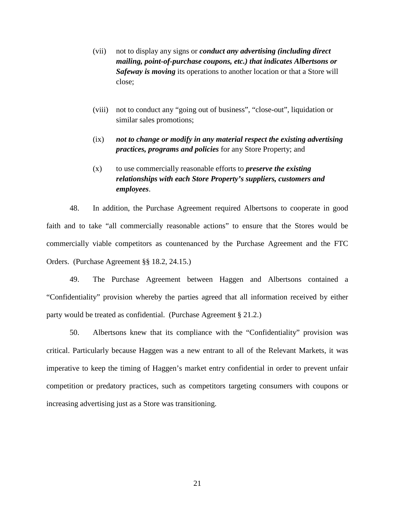- (vii) not to display any signs or *conduct any advertising (including direct mailing, point-of-purchase coupons, etc.) that indicates Albertsons or Safeway is moving* its operations to another location or that a Store will close;
- (viii) not to conduct any "going out of business", "close-out", liquidation or similar sales promotions;
- (ix) *not to change or modify in any material respect the existing advertising practices, programs and policies* for any Store Property; and
- (x) to use commercially reasonable efforts to *preserve the existing relationships with each Store Property's suppliers, customers and employees*.

48. In addition, the Purchase Agreement required Albertsons to cooperate in good faith and to take "all commercially reasonable actions" to ensure that the Stores would be commercially viable competitors as countenanced by the Purchase Agreement and the FTC Orders. (Purchase Agreement §§ 18.2, 24.15.)

49. The Purchase Agreement between Haggen and Albertsons contained a "Confidentiality" provision whereby the parties agreed that all information received by either party would be treated as confidential. (Purchase Agreement § 21.2.)

50. Albertsons knew that its compliance with the "Confidentiality" provision was critical. Particularly because Haggen was a new entrant to all of the Relevant Markets, it was imperative to keep the timing of Haggen's market entry confidential in order to prevent unfair competition or predatory practices, such as competitors targeting consumers with coupons or increasing advertising just as a Store was transitioning.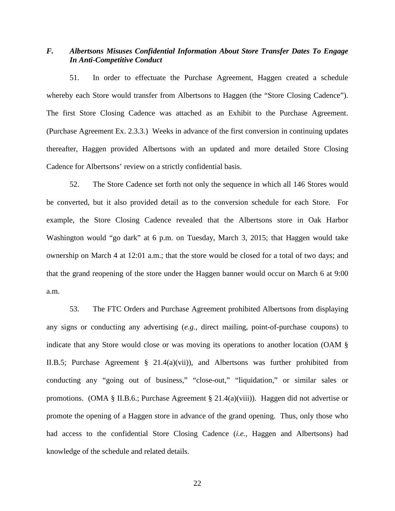# *F. Albertsons Misuses Confidential Information About Store Transfer Dates To Engage In Anti-Competitive Conduct*

51. In order to effectuate the Purchase Agreement, Haggen created a schedule whereby each Store would transfer from Albertsons to Haggen (the "Store Closing Cadence"). The first Store Closing Cadence was attached as an Exhibit to the Purchase Agreement. (Purchase Agreement Ex. 2.3.3.) Weeks in advance of the first conversion in continuing updates thereafter, Haggen provided Albertsons with an updated and more detailed Store Closing Cadence for Albertsons' review on a strictly confidential basis.

52. The Store Cadence set forth not only the sequence in which all 146 Stores would be converted, but it also provided detail as to the conversion schedule for each Store. For example, the Store Closing Cadence revealed that the Albertsons store in Oak Harbor Washington would "go dark" at 6 p.m. on Tuesday, March 3, 2015; that Haggen would take ownership on March 4 at 12:01 a.m.; that the store would be closed for a total of two days; and that the grand reopening of the store under the Haggen banner would occur on March 6 at 9:00 a.m.

53. The FTC Orders and Purchase Agreement prohibited Albertsons from displaying any signs or conducting any advertising (*e.g.,* direct mailing, point-of-purchase coupons) to indicate that any Store would close or was moving its operations to another location (OAM § II.B.5; Purchase Agreement § 21.4(a)(vii)), and Albertsons was further prohibited from conducting any "going out of business," "close-out," "liquidation," or similar sales or promotions. (OMA § II.B.6.; Purchase Agreement § 21.4(a)(viii)). Haggen did not advertise or promote the opening of a Haggen store in advance of the grand opening. Thus, only those who had access to the confidential Store Closing Cadence (*i.e.,* Haggen and Albertsons) had knowledge of the schedule and related details.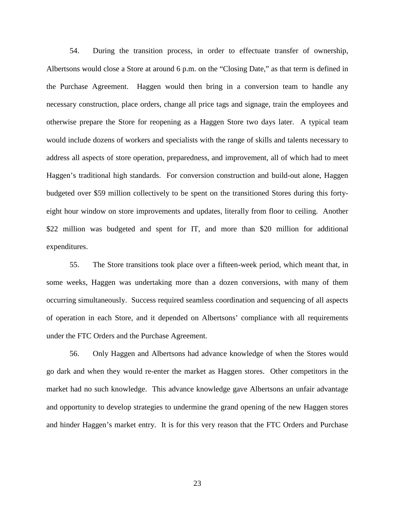54. During the transition process, in order to effectuate transfer of ownership, Albertsons would close a Store at around 6 p.m. on the "Closing Date," as that term is defined in the Purchase Agreement. Haggen would then bring in a conversion team to handle any necessary construction, place orders, change all price tags and signage, train the employees and otherwise prepare the Store for reopening as a Haggen Store two days later. A typical team would include dozens of workers and specialists with the range of skills and talents necessary to address all aspects of store operation, preparedness, and improvement, all of which had to meet Haggen's traditional high standards. For conversion construction and build-out alone, Haggen budgeted over \$59 million collectively to be spent on the transitioned Stores during this fortyeight hour window on store improvements and updates, literally from floor to ceiling. Another \$22 million was budgeted and spent for IT, and more than \$20 million for additional expenditures.

55. The Store transitions took place over a fifteen-week period, which meant that, in some weeks, Haggen was undertaking more than a dozen conversions, with many of them occurring simultaneously. Success required seamless coordination and sequencing of all aspects of operation in each Store, and it depended on Albertsons' compliance with all requirements under the FTC Orders and the Purchase Agreement.

56. Only Haggen and Albertsons had advance knowledge of when the Stores would go dark and when they would re-enter the market as Haggen stores. Other competitors in the market had no such knowledge. This advance knowledge gave Albertsons an unfair advantage and opportunity to develop strategies to undermine the grand opening of the new Haggen stores and hinder Haggen's market entry. It is for this very reason that the FTC Orders and Purchase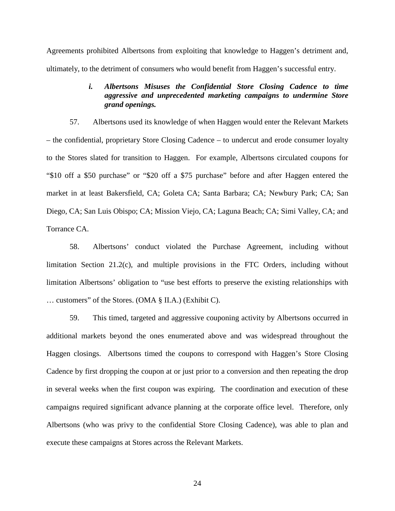Agreements prohibited Albertsons from exploiting that knowledge to Haggen's detriment and, ultimately, to the detriment of consumers who would benefit from Haggen's successful entry.

## *i. Albertsons Misuses the Confidential Store Closing Cadence to time aggressive and unprecedented marketing campaigns to undermine Store grand openings.*

57. Albertsons used its knowledge of when Haggen would enter the Relevant Markets – the confidential, proprietary Store Closing Cadence – to undercut and erode consumer loyalty to the Stores slated for transition to Haggen. For example, Albertsons circulated coupons for "\$10 off a \$50 purchase" or "\$20 off a \$75 purchase" before and after Haggen entered the market in at least Bakersfield, CA; Goleta CA; Santa Barbara; CA; Newbury Park; CA; San Diego, CA; San Luis Obispo; CA; Mission Viejo, CA; Laguna Beach; CA; Simi Valley, CA; and Torrance CA.

58. Albertsons' conduct violated the Purchase Agreement, including without limitation Section 21.2(c), and multiple provisions in the FTC Orders, including without limitation Albertsons' obligation to "use best efforts to preserve the existing relationships with … customers" of the Stores. (OMA § II.A.) (Exhibit C).

59. This timed, targeted and aggressive couponing activity by Albertsons occurred in additional markets beyond the ones enumerated above and was widespread throughout the Haggen closings. Albertsons timed the coupons to correspond with Haggen's Store Closing Cadence by first dropping the coupon at or just prior to a conversion and then repeating the drop in several weeks when the first coupon was expiring. The coordination and execution of these campaigns required significant advance planning at the corporate office level. Therefore, only Albertsons (who was privy to the confidential Store Closing Cadence), was able to plan and execute these campaigns at Stores across the Relevant Markets.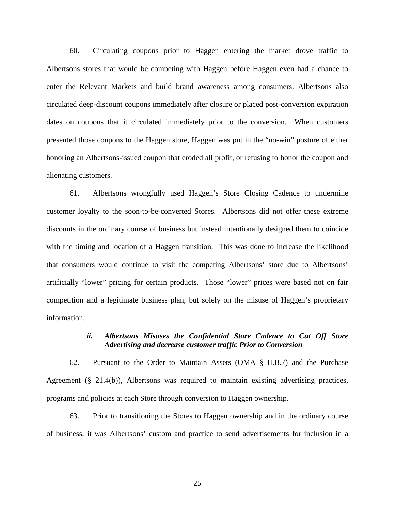60. Circulating coupons prior to Haggen entering the market drove traffic to Albertsons stores that would be competing with Haggen before Haggen even had a chance to enter the Relevant Markets and build brand awareness among consumers. Albertsons also circulated deep-discount coupons immediately after closure or placed post-conversion expiration dates on coupons that it circulated immediately prior to the conversion. When customers presented those coupons to the Haggen store, Haggen was put in the "no-win" posture of either honoring an Albertsons-issued coupon that eroded all profit, or refusing to honor the coupon and alienating customers.

61. Albertsons wrongfully used Haggen's Store Closing Cadence to undermine customer loyalty to the soon-to-be-converted Stores. Albertsons did not offer these extreme discounts in the ordinary course of business but instead intentionally designed them to coincide with the timing and location of a Haggen transition. This was done to increase the likelihood that consumers would continue to visit the competing Albertsons' store due to Albertsons' artificially "lower" pricing for certain products. Those "lower" prices were based not on fair competition and a legitimate business plan, but solely on the misuse of Haggen's proprietary information.

### *ii. Albertsons Misuses the Confidential Store Cadence to Cut Off Store Advertising and decrease customer traffic Prior to Conversion*

62. Pursuant to the Order to Maintain Assets (OMA § II.B.7) and the Purchase Agreement (§ 21.4(b)), Albertsons was required to maintain existing advertising practices, programs and policies at each Store through conversion to Haggen ownership.

63. Prior to transitioning the Stores to Haggen ownership and in the ordinary course of business, it was Albertsons' custom and practice to send advertisements for inclusion in a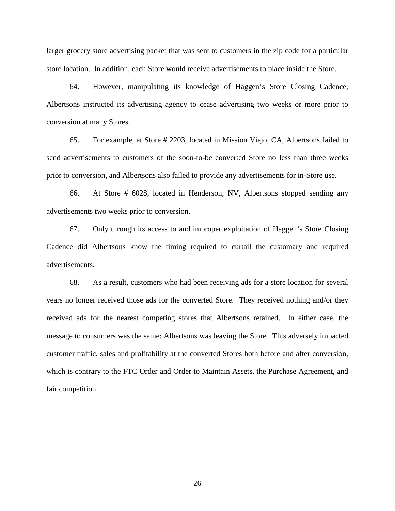larger grocery store advertising packet that was sent to customers in the zip code for a particular store location. In addition, each Store would receive advertisements to place inside the Store.

64. However, manipulating its knowledge of Haggen's Store Closing Cadence, Albertsons instructed its advertising agency to cease advertising two weeks or more prior to conversion at many Stores.

65. For example, at Store # 2203, located in Mission Viejo, CA, Albertsons failed to send advertisements to customers of the soon-to-be converted Store no less than three weeks prior to conversion, and Albertsons also failed to provide any advertisements for in-Store use.

66. At Store # 6028, located in Henderson, NV, Albertsons stopped sending any advertisements two weeks prior to conversion.

67. Only through its access to and improper exploitation of Haggen's Store Closing Cadence did Albertsons know the timing required to curtail the customary and required advertisements.

68. As a result, customers who had been receiving ads for a store location for several years no longer received those ads for the converted Store. They received nothing and/or they received ads for the nearest competing stores that Albertsons retained. In either case, the message to consumers was the same: Albertsons was leaving the Store. This adversely impacted customer traffic, sales and profitability at the converted Stores both before and after conversion, which is contrary to the FTC Order and Order to Maintain Assets, the Purchase Agreement, and fair competition.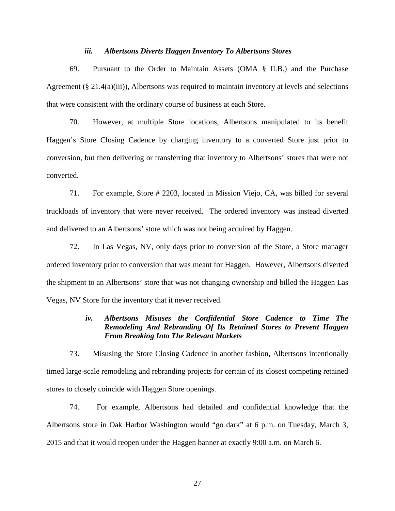#### *iii. Albertsons Diverts Haggen Inventory To Albertsons Stores*

69. Pursuant to the Order to Maintain Assets (OMA § II.B.) and the Purchase Agreement  $(\S 21.4(a)(iii))$ , Albertsons was required to maintain inventory at levels and selections that were consistent with the ordinary course of business at each Store.

70. However, at multiple Store locations, Albertsons manipulated to its benefit Haggen's Store Closing Cadence by charging inventory to a converted Store just prior to conversion, but then delivering or transferring that inventory to Albertsons' stores that were not converted.

71. For example, Store # 2203, located in Mission Viejo, CA, was billed for several truckloads of inventory that were never received. The ordered inventory was instead diverted and delivered to an Albertsons' store which was not being acquired by Haggen.

72. In Las Vegas, NV, only days prior to conversion of the Store, a Store manager ordered inventory prior to conversion that was meant for Haggen. However, Albertsons diverted the shipment to an Albertsons' store that was not changing ownership and billed the Haggen Las Vegas, NV Store for the inventory that it never received.

## *iv. Albertsons Misuses the Confidential Store Cadence to Time The Remodeling And Rebranding Of Its Retained Stores to Prevent Haggen From Breaking Into The Relevant Markets*

73. Misusing the Store Closing Cadence in another fashion, Albertsons intentionally timed large-scale remodeling and rebranding projects for certain of its closest competing retained stores to closely coincide with Haggen Store openings.

74. For example, Albertsons had detailed and confidential knowledge that the Albertsons store in Oak Harbor Washington would "go dark" at 6 p.m. on Tuesday, March 3, 2015 and that it would reopen under the Haggen banner at exactly 9:00 a.m. on March 6.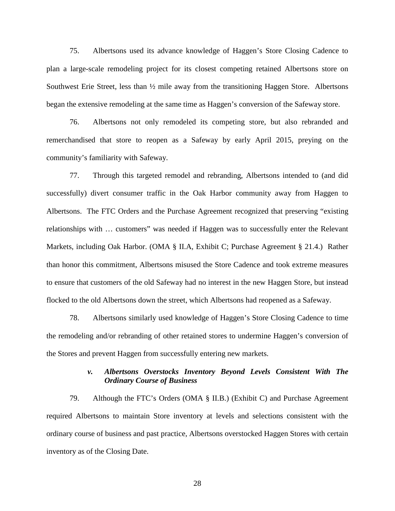75. Albertsons used its advance knowledge of Haggen's Store Closing Cadence to plan a large-scale remodeling project for its closest competing retained Albertsons store on Southwest Erie Street, less than  $\frac{1}{2}$  mile away from the transitioning Haggen Store. Albertsons began the extensive remodeling at the same time as Haggen's conversion of the Safeway store.

76. Albertsons not only remodeled its competing store, but also rebranded and remerchandised that store to reopen as a Safeway by early April 2015, preying on the community's familiarity with Safeway.

77. Through this targeted remodel and rebranding, Albertsons intended to (and did successfully) divert consumer traffic in the Oak Harbor community away from Haggen to Albertsons. The FTC Orders and the Purchase Agreement recognized that preserving "existing relationships with … customers" was needed if Haggen was to successfully enter the Relevant Markets, including Oak Harbor. (OMA § II.A, Exhibit C; Purchase Agreement § 21.4.) Rather than honor this commitment, Albertsons misused the Store Cadence and took extreme measures to ensure that customers of the old Safeway had no interest in the new Haggen Store, but instead flocked to the old Albertsons down the street, which Albertsons had reopened as a Safeway.

78. Albertsons similarly used knowledge of Haggen's Store Closing Cadence to time the remodeling and/or rebranding of other retained stores to undermine Haggen's conversion of the Stores and prevent Haggen from successfully entering new markets.

### *v. Albertsons Overstocks Inventory Beyond Levels Consistent With The Ordinary Course of Business*

79. Although the FTC's Orders (OMA § II.B.) (Exhibit C) and Purchase Agreement required Albertsons to maintain Store inventory at levels and selections consistent with the ordinary course of business and past practice, Albertsons overstocked Haggen Stores with certain inventory as of the Closing Date.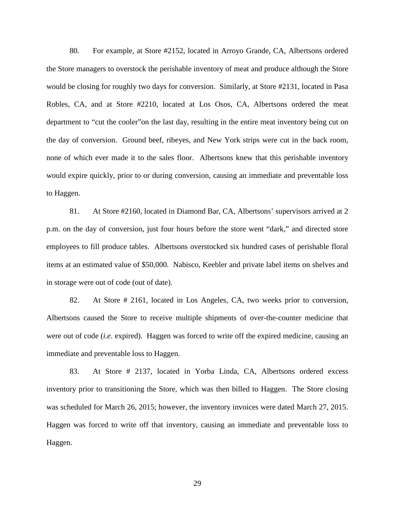80. For example, at Store #2152, located in Arroyo Grande, CA, Albertsons ordered the Store managers to overstock the perishable inventory of meat and produce although the Store would be closing for roughly two days for conversion. Similarly, at Store #2131, located in Pasa Robles, CA, and at Store #2210, located at Los Osos, CA, Albertsons ordered the meat department to "cut the cooler"on the last day, resulting in the entire meat inventory being cut on the day of conversion. Ground beef, ribeyes, and New York strips were cut in the back room, none of which ever made it to the sales floor. Albertsons knew that this perishable inventory would expire quickly, prior to or during conversion, causing an immediate and preventable loss to Haggen.

81. At Store #2160, located in Diamond Bar, CA, Albertsons' supervisors arrived at 2 p.m. on the day of conversion, just four hours before the store went "dark," and directed store employees to fill produce tables. Albertsons overstocked six hundred cases of perishable floral items at an estimated value of \$50,000. Nabisco, Keebler and private label items on shelves and in storage were out of code (out of date).

82. At Store # 2161, located in Los Angeles, CA, two weeks prior to conversion, Albertsons caused the Store to receive multiple shipments of over-the-counter medicine that were out of code (*i.e*. expired). Haggen was forced to write off the expired medicine, causing an immediate and preventable loss to Haggen.

83. At Store # 2137, located in Yorba Linda, CA, Albertsons ordered excess inventory prior to transitioning the Store, which was then billed to Haggen. The Store closing was scheduled for March 26, 2015; however, the inventory invoices were dated March 27, 2015. Haggen was forced to write off that inventory, causing an immediate and preventable loss to Haggen.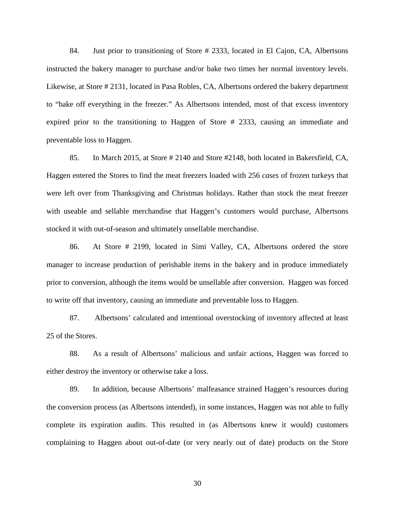84. Just prior to transitioning of Store # 2333, located in El Cajon, CA, Albertsons instructed the bakery manager to purchase and/or bake two times her normal inventory levels. Likewise, at Store # 2131, located in Pasa Robles, CA, Albertsons ordered the bakery department to "bake off everything in the freezer." As Albertsons intended, most of that excess inventory expired prior to the transitioning to Haggen of Store # 2333, causing an immediate and preventable loss to Haggen.

85. In March 2015, at Store # 2140 and Store #2148, both located in Bakersfield, CA, Haggen entered the Stores to find the meat freezers loaded with 256 *cases* of frozen turkeys that were left over from Thanksgiving and Christmas holidays. Rather than stock the meat freezer with useable and sellable merchandise that Haggen's customers would purchase, Albertsons stocked it with out-of-season and ultimately unsellable merchandise.

86. At Store # 2199, located in Simi Valley, CA, Albertsons ordered the store manager to increase production of perishable items in the bakery and in produce immediately prior to conversion, although the items would be unsellable after conversion. Haggen was forced to write off that inventory, causing an immediate and preventable loss to Haggen.

87. Albertsons' calculated and intentional overstocking of inventory affected at least 25 of the Stores.

88. As a result of Albertsons' malicious and unfair actions, Haggen was forced to either destroy the inventory or otherwise take a loss.

89. In addition, because Albertsons' malfeasance strained Haggen's resources during the conversion process (as Albertsons intended), in some instances, Haggen was not able to fully complete its expiration audits. This resulted in (as Albertsons knew it would) customers complaining to Haggen about out-of-date (or very nearly out of date) products on the Store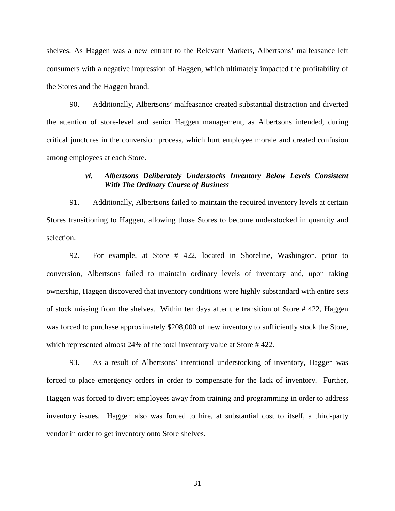shelves. As Haggen was a new entrant to the Relevant Markets, Albertsons' malfeasance left consumers with a negative impression of Haggen, which ultimately impacted the profitability of the Stores and the Haggen brand.

90. Additionally, Albertsons' malfeasance created substantial distraction and diverted the attention of store-level and senior Haggen management, as Albertsons intended, during critical junctures in the conversion process, which hurt employee morale and created confusion among employees at each Store.

### *vi. Albertsons Deliberately Understocks Inventory Below Levels Consistent With The Ordinary Course of Business*

91. Additionally, Albertsons failed to maintain the required inventory levels at certain Stores transitioning to Haggen, allowing those Stores to become understocked in quantity and selection.

92. For example, at Store # 422, located in Shoreline, Washington, prior to conversion, Albertsons failed to maintain ordinary levels of inventory and, upon taking ownership, Haggen discovered that inventory conditions were highly substandard with entire sets of stock missing from the shelves. Within ten days after the transition of Store # 422, Haggen was forced to purchase approximately \$208,000 of new inventory to sufficiently stock the Store, which represented almost 24% of the total inventory value at Store #422.

93. As a result of Albertsons' intentional understocking of inventory, Haggen was forced to place emergency orders in order to compensate for the lack of inventory. Further, Haggen was forced to divert employees away from training and programming in order to address inventory issues. Haggen also was forced to hire, at substantial cost to itself, a third-party vendor in order to get inventory onto Store shelves.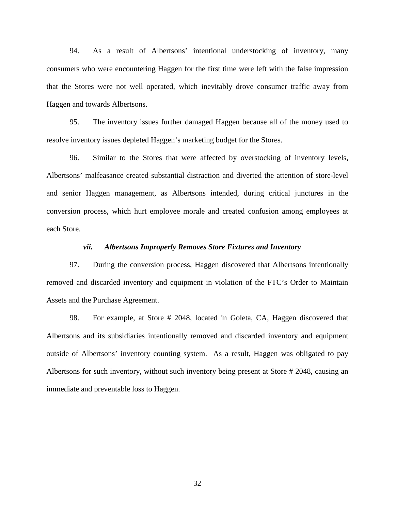94. As a result of Albertsons' intentional understocking of inventory, many consumers who were encountering Haggen for the first time were left with the false impression that the Stores were not well operated, which inevitably drove consumer traffic away from Haggen and towards Albertsons.

95. The inventory issues further damaged Haggen because all of the money used to resolve inventory issues depleted Haggen's marketing budget for the Stores.

96. Similar to the Stores that were affected by overstocking of inventory levels, Albertsons' malfeasance created substantial distraction and diverted the attention of store-level and senior Haggen management, as Albertsons intended, during critical junctures in the conversion process, which hurt employee morale and created confusion among employees at each Store.

#### *vii. Albertsons Improperly Removes Store Fixtures and Inventory*

97. During the conversion process, Haggen discovered that Albertsons intentionally removed and discarded inventory and equipment in violation of the FTC's Order to Maintain Assets and the Purchase Agreement.

98. For example, at Store # 2048, located in Goleta, CA, Haggen discovered that Albertsons and its subsidiaries intentionally removed and discarded inventory and equipment outside of Albertsons' inventory counting system. As a result, Haggen was obligated to pay Albertsons for such inventory, without such inventory being present at Store # 2048, causing an immediate and preventable loss to Haggen.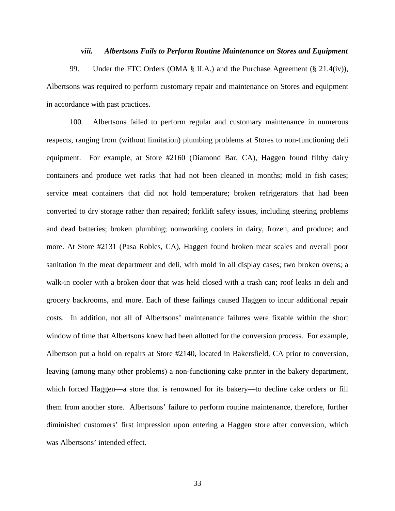### *viii. Albertsons Fails to Perform Routine Maintenance on Stores and Equipment*

99. Under the FTC Orders (OMA § II.A.) and the Purchase Agreement (§ 21.4(iv)), Albertsons was required to perform customary repair and maintenance on Stores and equipment in accordance with past practices.

100. Albertsons failed to perform regular and customary maintenance in numerous respects, ranging from (without limitation) plumbing problems at Stores to non-functioning deli equipment. For example, at Store #2160 (Diamond Bar, CA), Haggen found filthy dairy containers and produce wet racks that had not been cleaned in months; mold in fish cases; service meat containers that did not hold temperature; broken refrigerators that had been converted to dry storage rather than repaired; forklift safety issues, including steering problems and dead batteries; broken plumbing; nonworking coolers in dairy, frozen, and produce; and more. At Store #2131 (Pasa Robles, CA), Haggen found broken meat scales and overall poor sanitation in the meat department and deli, with mold in all display cases; two broken ovens; a walk-in cooler with a broken door that was held closed with a trash can; roof leaks in deli and grocery backrooms, and more. Each of these failings caused Haggen to incur additional repair costs. In addition, not all of Albertsons' maintenance failures were fixable within the short window of time that Albertsons knew had been allotted for the conversion process. For example, Albertson put a hold on repairs at Store #2140, located in Bakersfield, CA prior to conversion, leaving (among many other problems) a non-functioning cake printer in the bakery department, which forced Haggen—a store that is renowned for its bakery—to decline cake orders or fill them from another store. Albertsons' failure to perform routine maintenance, therefore, further diminished customers' first impression upon entering a Haggen store after conversion, which was Albertsons' intended effect.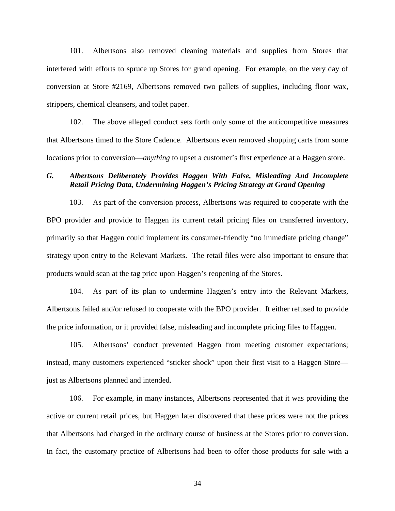101. Albertsons also removed cleaning materials and supplies from Stores that interfered with efforts to spruce up Stores for grand opening. For example, on the very day of conversion at Store #2169, Albertsons removed two pallets of supplies, including floor wax, strippers, chemical cleansers, and toilet paper.

102. The above alleged conduct sets forth only some of the anticompetitive measures that Albertsons timed to the Store Cadence. Albertsons even removed shopping carts from some locations prior to conversion—*anything* to upset a customer's first experience at a Haggen store.

# *G. Albertsons Deliberately Provides Haggen With False, Misleading And Incomplete Retail Pricing Data, Undermining Haggen's Pricing Strategy at Grand Opening*

103. As part of the conversion process, Albertsons was required to cooperate with the BPO provider and provide to Haggen its current retail pricing files on transferred inventory, primarily so that Haggen could implement its consumer-friendly "no immediate pricing change" strategy upon entry to the Relevant Markets. The retail files were also important to ensure that products would scan at the tag price upon Haggen's reopening of the Stores.

104. As part of its plan to undermine Haggen's entry into the Relevant Markets, Albertsons failed and/or refused to cooperate with the BPO provider. It either refused to provide the price information, or it provided false, misleading and incomplete pricing files to Haggen.

105. Albertsons' conduct prevented Haggen from meeting customer expectations; instead, many customers experienced "sticker shock" upon their first visit to a Haggen Store just as Albertsons planned and intended.

106. For example, in many instances, Albertsons represented that it was providing the active or current retail prices, but Haggen later discovered that these prices were not the prices that Albertsons had charged in the ordinary course of business at the Stores prior to conversion. In fact, the customary practice of Albertsons had been to offer those products for sale with a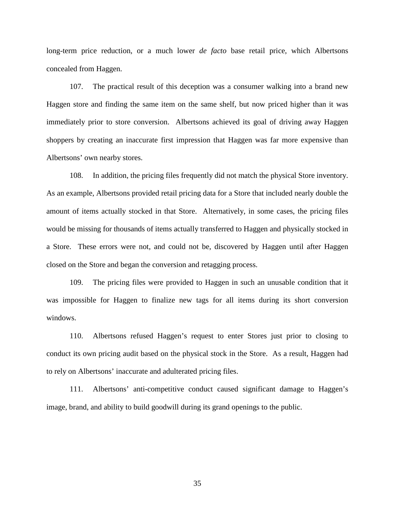long-term price reduction, or a much lower *de facto* base retail price, which Albertsons concealed from Haggen.

107. The practical result of this deception was a consumer walking into a brand new Haggen store and finding the same item on the same shelf, but now priced higher than it was immediately prior to store conversion. Albertsons achieved its goal of driving away Haggen shoppers by creating an inaccurate first impression that Haggen was far more expensive than Albertsons' own nearby stores.

108. In addition, the pricing files frequently did not match the physical Store inventory. As an example, Albertsons provided retail pricing data for a Store that included nearly double the amount of items actually stocked in that Store. Alternatively, in some cases, the pricing files would be missing for thousands of items actually transferred to Haggen and physically stocked in a Store. These errors were not, and could not be, discovered by Haggen until after Haggen closed on the Store and began the conversion and retagging process.

109. The pricing files were provided to Haggen in such an unusable condition that it was impossible for Haggen to finalize new tags for all items during its short conversion windows.

110. Albertsons refused Haggen's request to enter Stores just prior to closing to conduct its own pricing audit based on the physical stock in the Store. As a result, Haggen had to rely on Albertsons' inaccurate and adulterated pricing files.

111. Albertsons' anti-competitive conduct caused significant damage to Haggen's image, brand, and ability to build goodwill during its grand openings to the public.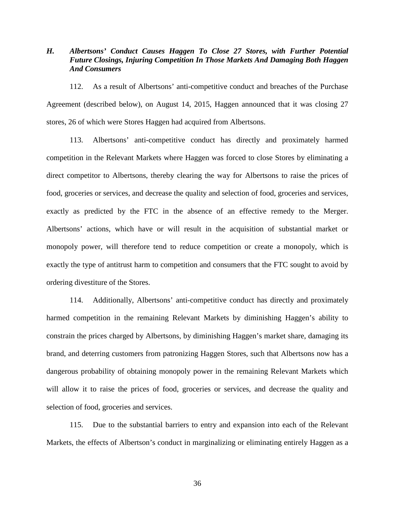# *H. Albertsons' Conduct Causes Haggen To Close 27 Stores, with Further Potential Future Closings, Injuring Competition In Those Markets And Damaging Both Haggen And Consumers*

112. As a result of Albertsons' anti-competitive conduct and breaches of the Purchase Agreement (described below), on August 14, 2015, Haggen announced that it was closing 27 stores, 26 of which were Stores Haggen had acquired from Albertsons.

113. Albertsons' anti-competitive conduct has directly and proximately harmed competition in the Relevant Markets where Haggen was forced to close Stores by eliminating a direct competitor to Albertsons, thereby clearing the way for Albertsons to raise the prices of food, groceries or services, and decrease the quality and selection of food, groceries and services, exactly as predicted by the FTC in the absence of an effective remedy to the Merger. Albertsons' actions, which have or will result in the acquisition of substantial market or monopoly power, will therefore tend to reduce competition or create a monopoly, which is exactly the type of antitrust harm to competition and consumers that the FTC sought to avoid by ordering divestiture of the Stores.

114. Additionally, Albertsons' anti-competitive conduct has directly and proximately harmed competition in the remaining Relevant Markets by diminishing Haggen's ability to constrain the prices charged by Albertsons, by diminishing Haggen's market share, damaging its brand, and deterring customers from patronizing Haggen Stores, such that Albertsons now has a dangerous probability of obtaining monopoly power in the remaining Relevant Markets which will allow it to raise the prices of food, groceries or services, and decrease the quality and selection of food, groceries and services.

115. Due to the substantial barriers to entry and expansion into each of the Relevant Markets, the effects of Albertson's conduct in marginalizing or eliminating entirely Haggen as a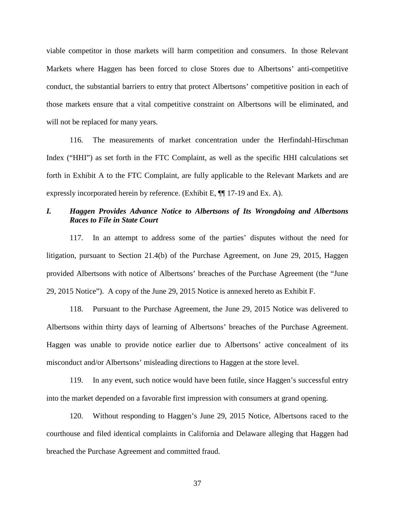viable competitor in those markets will harm competition and consumers. In those Relevant Markets where Haggen has been forced to close Stores due to Albertsons' anti-competitive conduct, the substantial barriers to entry that protect Albertsons' competitive position in each of those markets ensure that a vital competitive constraint on Albertsons will be eliminated, and will not be replaced for many years.

116. The measurements of market concentration under the Herfindahl-Hirschman Index ("HHI") as set forth in the FTC Complaint, as well as the specific HHI calculations set forth in Exhibit A to the FTC Complaint, are fully applicable to the Relevant Markets and are expressly incorporated herein by reference. (Exhibit E, ¶¶ 17-19 and Ex. A).

### *I. Haggen Provides Advance Notice to Albertsons of Its Wrongdoing and Albertsons Races to File in State Court*

117. In an attempt to address some of the parties' disputes without the need for litigation, pursuant to Section 21.4(b) of the Purchase Agreement, on June 29, 2015, Haggen provided Albertsons with notice of Albertsons' breaches of the Purchase Agreement (the "June 29, 2015 Notice"). A copy of the June 29, 2015 Notice is annexed hereto as Exhibit F.

118. Pursuant to the Purchase Agreement, the June 29, 2015 Notice was delivered to Albertsons within thirty days of learning of Albertsons' breaches of the Purchase Agreement. Haggen was unable to provide notice earlier due to Albertsons' active concealment of its misconduct and/or Albertsons' misleading directions to Haggen at the store level.

119. In any event, such notice would have been futile, since Haggen's successful entry into the market depended on a favorable first impression with consumers at grand opening.

120. Without responding to Haggen's June 29, 2015 Notice, Albertsons raced to the courthouse and filed identical complaints in California and Delaware alleging that Haggen had breached the Purchase Agreement and committed fraud.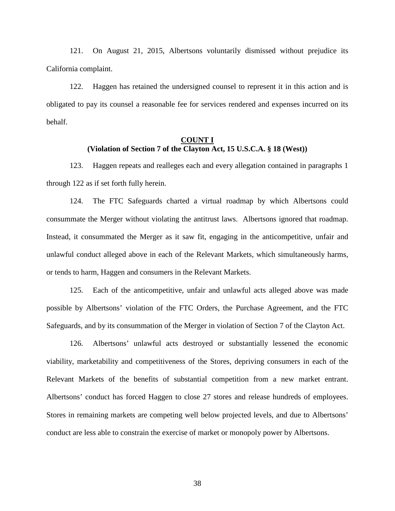121. On August 21, 2015, Albertsons voluntarily dismissed without prejudice its California complaint.

122. Haggen has retained the undersigned counsel to represent it in this action and is obligated to pay its counsel a reasonable fee for services rendered and expenses incurred on its behalf.

### **COUNT I (Violation of Section 7 of the Clayton Act, 15 U.S.C.A. § 18 (West))**

123. Haggen repeats and realleges each and every allegation contained in paragraphs 1 through 122 as if set forth fully herein.

124. The FTC Safeguards charted a virtual roadmap by which Albertsons could consummate the Merger without violating the antitrust laws. Albertsons ignored that roadmap. Instead, it consummated the Merger as it saw fit, engaging in the anticompetitive, unfair and unlawful conduct alleged above in each of the Relevant Markets, which simultaneously harms, or tends to harm, Haggen and consumers in the Relevant Markets.

125. Each of the anticompetitive, unfair and unlawful acts alleged above was made possible by Albertsons' violation of the FTC Orders, the Purchase Agreement, and the FTC Safeguards, and by its consummation of the Merger in violation of Section 7 of the Clayton Act.

126. Albertsons' unlawful acts destroyed or substantially lessened the economic viability, marketability and competitiveness of the Stores, depriving consumers in each of the Relevant Markets of the benefits of substantial competition from a new market entrant. Albertsons' conduct has forced Haggen to close 27 stores and release hundreds of employees. Stores in remaining markets are competing well below projected levels, and due to Albertsons' conduct are less able to constrain the exercise of market or monopoly power by Albertsons.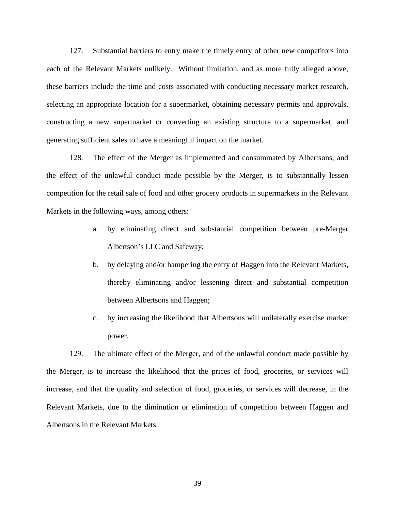127. Substantial barriers to entry make the timely entry of other new competitors into each of the Relevant Markets unlikely. Without limitation, and as more fully alleged above, these barriers include the time and costs associated with conducting necessary market research, selecting an appropriate location for a supermarket, obtaining necessary permits and approvals, constructing a new supermarket or converting an existing structure to a supermarket, and generating sufficient sales to have a meaningful impact on the market.

128. The effect of the Merger as implemented and consummated by Albertsons, and the effect of the unlawful conduct made possible by the Merger, is to substantially lessen competition for the retail sale of food and other grocery products in supermarkets in the Relevant Markets in the following ways, among others:

- a. by eliminating direct and substantial competition between pre-Merger Albertson's LLC and Safeway;
- b. by delaying and/or hampering the entry of Haggen into the Relevant Markets, thereby eliminating and/or lessening direct and substantial competition between Albertsons and Haggen;
- c. by increasing the likelihood that Albertsons will unilaterally exercise market power.

129. The ultimate effect of the Merger, and of the unlawful conduct made possible by the Merger, is to increase the likelihood that the prices of food, groceries, or services will increase, and that the quality and selection of food, groceries, or services will decrease, in the Relevant Markets, due to the diminution or elimination of competition between Haggen and Albertsons in the Relevant Markets.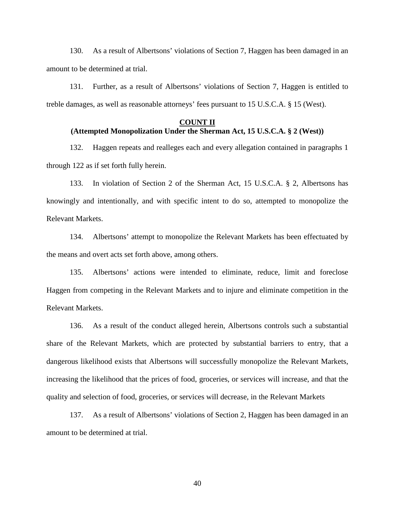130. As a result of Albertsons' violations of Section 7, Haggen has been damaged in an amount to be determined at trial.

131. Further, as a result of Albertsons' violations of Section 7, Haggen is entitled to treble damages, as well as reasonable attorneys' fees pursuant to 15 U.S.C.A. § 15 (West).

### **COUNT II**

# **(Attempted Monopolization Under the Sherman Act, 15 U.S.C.A. § 2 (West))**

132. Haggen repeats and realleges each and every allegation contained in paragraphs 1 through 122 as if set forth fully herein.

133. In violation of Section 2 of the Sherman Act, 15 U.S.C.A. § 2, Albertsons has knowingly and intentionally, and with specific intent to do so, attempted to monopolize the Relevant Markets.

134. Albertsons' attempt to monopolize the Relevant Markets has been effectuated by the means and overt acts set forth above, among others.

135. Albertsons' actions were intended to eliminate, reduce, limit and foreclose Haggen from competing in the Relevant Markets and to injure and eliminate competition in the Relevant Markets.

136. As a result of the conduct alleged herein, Albertsons controls such a substantial share of the Relevant Markets, which are protected by substantial barriers to entry, that a dangerous likelihood exists that Albertsons will successfully monopolize the Relevant Markets, increasing the likelihood that the prices of food, groceries, or services will increase, and that the quality and selection of food, groceries, or services will decrease, in the Relevant Markets

137. As a result of Albertsons' violations of Section 2, Haggen has been damaged in an amount to be determined at trial.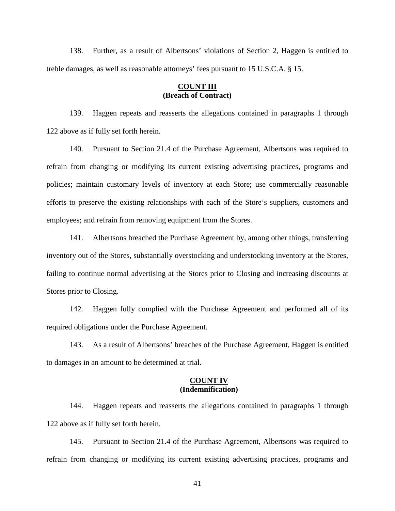138. Further, as a result of Albertsons' violations of Section 2, Haggen is entitled to treble damages, as well as reasonable attorneys' fees pursuant to 15 U.S.C.A. § 15.

### **COUNT III (Breach of Contract)**

139. Haggen repeats and reasserts the allegations contained in paragraphs 1 through 122 above as if fully set forth herein.

140. Pursuant to Section 21.4 of the Purchase Agreement, Albertsons was required to refrain from changing or modifying its current existing advertising practices, programs and policies; maintain customary levels of inventory at each Store; use commercially reasonable efforts to preserve the existing relationships with each of the Store's suppliers, customers and employees; and refrain from removing equipment from the Stores.

141. Albertsons breached the Purchase Agreement by, among other things, transferring inventory out of the Stores, substantially overstocking and understocking inventory at the Stores, failing to continue normal advertising at the Stores prior to Closing and increasing discounts at Stores prior to Closing.

142. Haggen fully complied with the Purchase Agreement and performed all of its required obligations under the Purchase Agreement.

143. As a result of Albertsons' breaches of the Purchase Agreement, Haggen is entitled to damages in an amount to be determined at trial.

### **COUNT IV (Indemnification)**

144. Haggen repeats and reasserts the allegations contained in paragraphs 1 through 122 above as if fully set forth herein.

145. Pursuant to Section 21.4 of the Purchase Agreement, Albertsons was required to refrain from changing or modifying its current existing advertising practices, programs and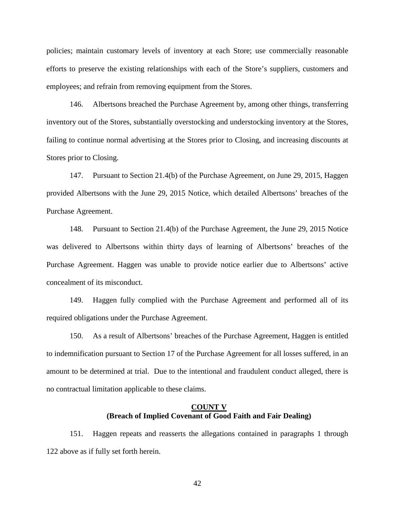policies; maintain customary levels of inventory at each Store; use commercially reasonable efforts to preserve the existing relationships with each of the Store's suppliers, customers and employees; and refrain from removing equipment from the Stores.

146. Albertsons breached the Purchase Agreement by, among other things, transferring inventory out of the Stores, substantially overstocking and understocking inventory at the Stores, failing to continue normal advertising at the Stores prior to Closing, and increasing discounts at Stores prior to Closing.

147. Pursuant to Section 21.4(b) of the Purchase Agreement, on June 29, 2015, Haggen provided Albertsons with the June 29, 2015 Notice, which detailed Albertsons' breaches of the Purchase Agreement.

148. Pursuant to Section 21.4(b) of the Purchase Agreement, the June 29, 2015 Notice was delivered to Albertsons within thirty days of learning of Albertsons' breaches of the Purchase Agreement. Haggen was unable to provide notice earlier due to Albertsons' active concealment of its misconduct.

149. Haggen fully complied with the Purchase Agreement and performed all of its required obligations under the Purchase Agreement.

150. As a result of Albertsons' breaches of the Purchase Agreement, Haggen is entitled to indemnification pursuant to Section 17 of the Purchase Agreement for all losses suffered, in an amount to be determined at trial. Due to the intentional and fraudulent conduct alleged, there is no contractual limitation applicable to these claims.

### **COUNT V (Breach of Implied Covenant of Good Faith and Fair Dealing)**

151. Haggen repeats and reasserts the allegations contained in paragraphs 1 through 122 above as if fully set forth herein.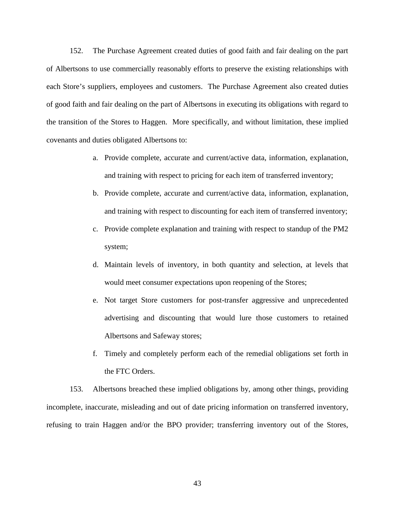152. The Purchase Agreement created duties of good faith and fair dealing on the part of Albertsons to use commercially reasonably efforts to preserve the existing relationships with each Store's suppliers, employees and customers. The Purchase Agreement also created duties of good faith and fair dealing on the part of Albertsons in executing its obligations with regard to the transition of the Stores to Haggen. More specifically, and without limitation, these implied covenants and duties obligated Albertsons to:

- a. Provide complete, accurate and current/active data, information, explanation, and training with respect to pricing for each item of transferred inventory;
- b. Provide complete, accurate and current/active data, information, explanation, and training with respect to discounting for each item of transferred inventory;
- c. Provide complete explanation and training with respect to standup of the PM2 system;
- d. Maintain levels of inventory, in both quantity and selection, at levels that would meet consumer expectations upon reopening of the Stores;
- e. Not target Store customers for post-transfer aggressive and unprecedented advertising and discounting that would lure those customers to retained Albertsons and Safeway stores;
- f. Timely and completely perform each of the remedial obligations set forth in the FTC Orders.

153. Albertsons breached these implied obligations by, among other things, providing incomplete, inaccurate, misleading and out of date pricing information on transferred inventory, refusing to train Haggen and/or the BPO provider; transferring inventory out of the Stores,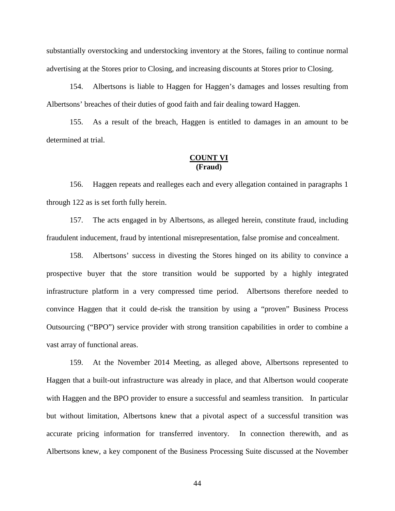substantially overstocking and understocking inventory at the Stores, failing to continue normal advertising at the Stores prior to Closing, and increasing discounts at Stores prior to Closing.

154. Albertsons is liable to Haggen for Haggen's damages and losses resulting from Albertsons' breaches of their duties of good faith and fair dealing toward Haggen.

155. As a result of the breach, Haggen is entitled to damages in an amount to be determined at trial.

### **COUNT VI (Fraud)**

156. Haggen repeats and realleges each and every allegation contained in paragraphs 1 through 122 as is set forth fully herein.

157. The acts engaged in by Albertsons, as alleged herein, constitute fraud, including fraudulent inducement, fraud by intentional misrepresentation, false promise and concealment.

158. Albertsons' success in divesting the Stores hinged on its ability to convince a prospective buyer that the store transition would be supported by a highly integrated infrastructure platform in a very compressed time period. Albertsons therefore needed to convince Haggen that it could de-risk the transition by using a "proven" Business Process Outsourcing ("BPO") service provider with strong transition capabilities in order to combine a vast array of functional areas.

159. At the November 2014 Meeting, as alleged above, Albertsons represented to Haggen that a built-out infrastructure was already in place, and that Albertson would cooperate with Haggen and the BPO provider to ensure a successful and seamless transition. In particular but without limitation, Albertsons knew that a pivotal aspect of a successful transition was accurate pricing information for transferred inventory. In connection therewith, and as Albertsons knew, a key component of the Business Processing Suite discussed at the November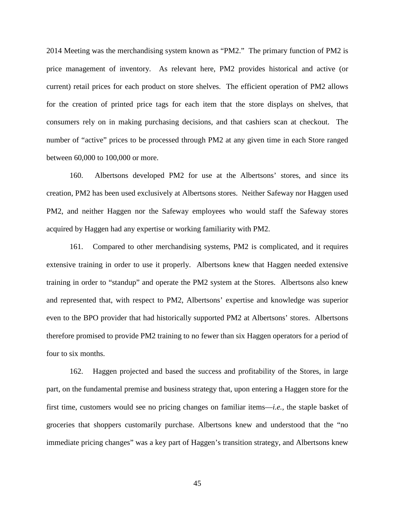2014 Meeting was the merchandising system known as "PM2." The primary function of PM2 is price management of inventory. As relevant here, PM2 provides historical and active (or current) retail prices for each product on store shelves. The efficient operation of PM2 allows for the creation of printed price tags for each item that the store displays on shelves, that consumers rely on in making purchasing decisions, and that cashiers scan at checkout. The number of "active" prices to be processed through PM2 at any given time in each Store ranged between 60,000 to 100,000 or more.

160. Albertsons developed PM2 for use at the Albertsons' stores, and since its creation, PM2 has been used exclusively at Albertsons stores. Neither Safeway nor Haggen used PM2, and neither Haggen nor the Safeway employees who would staff the Safeway stores acquired by Haggen had any expertise or working familiarity with PM2.

161. Compared to other merchandising systems, PM2 is complicated, and it requires extensive training in order to use it properly. Albertsons knew that Haggen needed extensive training in order to "standup" and operate the PM2 system at the Stores. Albertsons also knew and represented that, with respect to PM2, Albertsons' expertise and knowledge was superior even to the BPO provider that had historically supported PM2 at Albertsons' stores. Albertsons therefore promised to provide PM2 training to no fewer than six Haggen operators for a period of four to six months.

162. Haggen projected and based the success and profitability of the Stores, in large part, on the fundamental premise and business strategy that, upon entering a Haggen store for the first time, customers would see no pricing changes on familiar items—*i.e.,* the staple basket of groceries that shoppers customarily purchase. Albertsons knew and understood that the "no immediate pricing changes" was a key part of Haggen's transition strategy, and Albertsons knew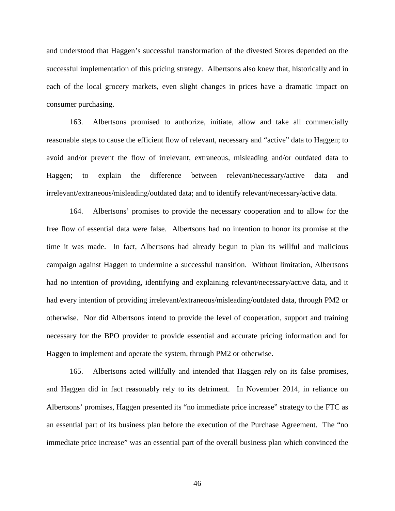and understood that Haggen's successful transformation of the divested Stores depended on the successful implementation of this pricing strategy. Albertsons also knew that, historically and in each of the local grocery markets, even slight changes in prices have a dramatic impact on consumer purchasing.

163. Albertsons promised to authorize, initiate, allow and take all commercially reasonable steps to cause the efficient flow of relevant, necessary and "active" data to Haggen; to avoid and/or prevent the flow of irrelevant, extraneous, misleading and/or outdated data to Haggen; to explain the difference between relevant/necessary/active data and irrelevant/extraneous/misleading/outdated data; and to identify relevant/necessary/active data.

164. Albertsons' promises to provide the necessary cooperation and to allow for the free flow of essential data were false. Albertsons had no intention to honor its promise at the time it was made. In fact, Albertsons had already begun to plan its willful and malicious campaign against Haggen to undermine a successful transition. Without limitation, Albertsons had no intention of providing, identifying and explaining relevant/necessary/active data, and it had every intention of providing irrelevant/extraneous/misleading/outdated data, through PM2 or otherwise. Nor did Albertsons intend to provide the level of cooperation, support and training necessary for the BPO provider to provide essential and accurate pricing information and for Haggen to implement and operate the system, through PM2 or otherwise.

165. Albertsons acted willfully and intended that Haggen rely on its false promises, and Haggen did in fact reasonably rely to its detriment. In November 2014, in reliance on Albertsons' promises, Haggen presented its "no immediate price increase" strategy to the FTC as an essential part of its business plan before the execution of the Purchase Agreement. The "no immediate price increase" was an essential part of the overall business plan which convinced the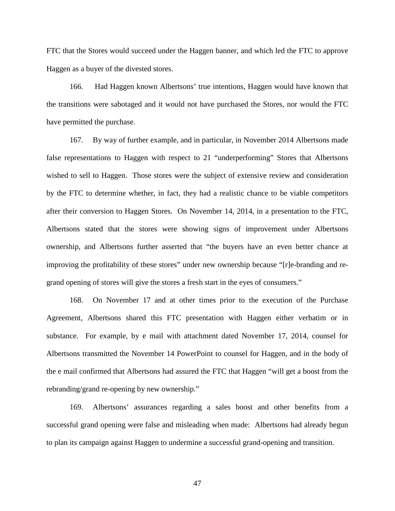FTC that the Stores would succeed under the Haggen banner, and which led the FTC to approve Haggen as a buyer of the divested stores.

166. Had Haggen known Albertsons' true intentions, Haggen would have known that the transitions were sabotaged and it would not have purchased the Stores, nor would the FTC have permitted the purchase.

167. By way of further example, and in particular, in November 2014 Albertsons made false representations to Haggen with respect to 21 "underperforming" Stores that Albertsons wished to sell to Haggen. Those stores were the subject of extensive review and consideration by the FTC to determine whether, in fact, they had a realistic chance to be viable competitors after their conversion to Haggen Stores. On November 14, 2014, in a presentation to the FTC, Albertsons stated that the stores were showing signs of improvement under Albertsons ownership, and Albertsons further asserted that "the buyers have an even better chance at improving the profitability of these stores" under new ownership because "[r]e-branding and regrand opening of stores will give the stores a fresh start in the eyes of consumers."

168. On November 17 and at other times prior to the execution of the Purchase Agreement, Albertsons shared this FTC presentation with Haggen either verbatim or in substance. For example, by e mail with attachment dated November 17, 2014, counsel for Albertsons transmitted the November 14 PowerPoint to counsel for Haggen, and in the body of the e mail confirmed that Albertsons had assured the FTC that Haggen "will get a boost from the rebranding/grand re-opening by new ownership."

169. Albertsons' assurances regarding a sales boost and other benefits from a successful grand opening were false and misleading when made: Albertsons had already begun to plan its campaign against Haggen to undermine a successful grand-opening and transition.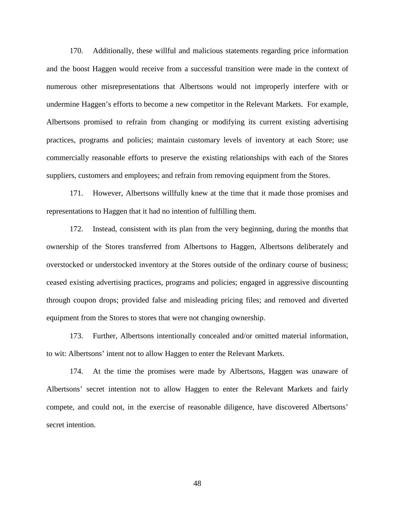170. Additionally, these willful and malicious statements regarding price information and the boost Haggen would receive from a successful transition were made in the context of numerous other misrepresentations that Albertsons would not improperly interfere with or undermine Haggen's efforts to become a new competitor in the Relevant Markets. For example, Albertsons promised to refrain from changing or modifying its current existing advertising practices, programs and policies; maintain customary levels of inventory at each Store; use commercially reasonable efforts to preserve the existing relationships with each of the Stores suppliers, customers and employees; and refrain from removing equipment from the Stores.

171. However, Albertsons willfully knew at the time that it made those promises and representations to Haggen that it had no intention of fulfilling them.

172. Instead, consistent with its plan from the very beginning, during the months that ownership of the Stores transferred from Albertsons to Haggen, Albertsons deliberately and overstocked or understocked inventory at the Stores outside of the ordinary course of business; ceased existing advertising practices, programs and policies; engaged in aggressive discounting through coupon drops; provided false and misleading pricing files; and removed and diverted equipment from the Stores to stores that were not changing ownership.

173. Further, Albertsons intentionally concealed and/or omitted material information, to wit: Albertsons' intent not to allow Haggen to enter the Relevant Markets.

174. At the time the promises were made by Albertsons, Haggen was unaware of Albertsons' secret intention not to allow Haggen to enter the Relevant Markets and fairly compete, and could not, in the exercise of reasonable diligence, have discovered Albertsons' secret intention.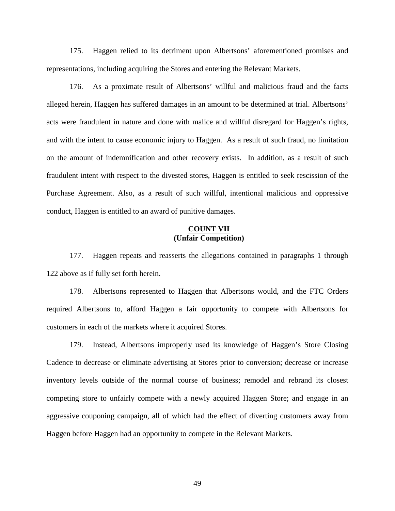175. Haggen relied to its detriment upon Albertsons' aforementioned promises and representations, including acquiring the Stores and entering the Relevant Markets.

176. As a proximate result of Albertsons' willful and malicious fraud and the facts alleged herein, Haggen has suffered damages in an amount to be determined at trial. Albertsons' acts were fraudulent in nature and done with malice and willful disregard for Haggen's rights, and with the intent to cause economic injury to Haggen. As a result of such fraud, no limitation on the amount of indemnification and other recovery exists. In addition, as a result of such fraudulent intent with respect to the divested stores, Haggen is entitled to seek rescission of the Purchase Agreement. Also, as a result of such willful, intentional malicious and oppressive conduct, Haggen is entitled to an award of punitive damages.

### **COUNT VII (Unfair Competition)**

177. Haggen repeats and reasserts the allegations contained in paragraphs 1 through 122 above as if fully set forth herein.

178. Albertsons represented to Haggen that Albertsons would, and the FTC Orders required Albertsons to, afford Haggen a fair opportunity to compete with Albertsons for customers in each of the markets where it acquired Stores.

179. Instead, Albertsons improperly used its knowledge of Haggen's Store Closing Cadence to decrease or eliminate advertising at Stores prior to conversion; decrease or increase inventory levels outside of the normal course of business; remodel and rebrand its closest competing store to unfairly compete with a newly acquired Haggen Store; and engage in an aggressive couponing campaign, all of which had the effect of diverting customers away from Haggen before Haggen had an opportunity to compete in the Relevant Markets.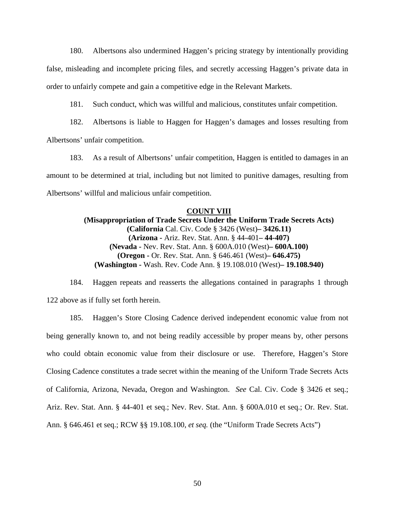180. Albertsons also undermined Haggen's pricing strategy by intentionally providing false, misleading and incomplete pricing files, and secretly accessing Haggen's private data in order to unfairly compete and gain a competitive edge in the Relevant Markets.

181. Such conduct, which was willful and malicious, constitutes unfair competition.

182. Albertsons is liable to Haggen for Haggen's damages and losses resulting from Albertsons' unfair competition.

183. As a result of Albertsons' unfair competition, Haggen is entitled to damages in an amount to be determined at trial, including but not limited to punitive damages, resulting from Albertsons' willful and malicious unfair competition.

#### **COUNT VIII**

**(Misappropriation of Trade Secrets Under the Uniform Trade Secrets Acts) (California** Cal. Civ. Code § 3426 (West)**– 3426.11) (Arizona -** Ariz. Rev. Stat. Ann. § 44-401**– 44-407) (Nevada -** Nev. Rev. Stat. Ann. § 600A.010 (West)**– 600A.100) (Oregon -** Or. Rev. Stat. Ann. § 646.461 (West)**– 646.475) (Washington -** Wash. Rev. Code Ann. § 19.108.010 (West)**– 19.108.940)** 

184. Haggen repeats and reasserts the allegations contained in paragraphs 1 through 122 above as if fully set forth herein.

185. Haggen's Store Closing Cadence derived independent economic value from not being generally known to, and not being readily accessible by proper means by, other persons who could obtain economic value from their disclosure or use. Therefore, Haggen's Store Closing Cadence constitutes a trade secret within the meaning of the Uniform Trade Secrets Acts of California, Arizona, Nevada, Oregon and Washington. *See* Cal. Civ. Code § 3426 et seq.; Ariz. Rev. Stat. Ann. § 44-401 et seq.; Nev. Rev. Stat. Ann. § 600A.010 et seq.; Or. Rev. Stat. Ann. § 646.461 et seq.; RCW §§ 19.108.100, *et seq.* (the "Uniform Trade Secrets Acts")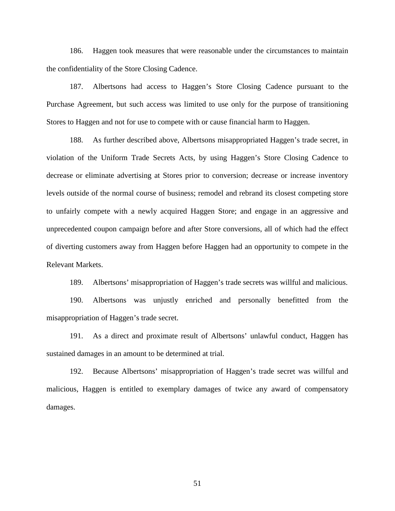186. Haggen took measures that were reasonable under the circumstances to maintain the confidentiality of the Store Closing Cadence.

187. Albertsons had access to Haggen's Store Closing Cadence pursuant to the Purchase Agreement, but such access was limited to use only for the purpose of transitioning Stores to Haggen and not for use to compete with or cause financial harm to Haggen.

188. As further described above, Albertsons misappropriated Haggen's trade secret, in violation of the Uniform Trade Secrets Acts, by using Haggen's Store Closing Cadence to decrease or eliminate advertising at Stores prior to conversion; decrease or increase inventory levels outside of the normal course of business; remodel and rebrand its closest competing store to unfairly compete with a newly acquired Haggen Store; and engage in an aggressive and unprecedented coupon campaign before and after Store conversions, all of which had the effect of diverting customers away from Haggen before Haggen had an opportunity to compete in the Relevant Markets.

189. Albertsons' misappropriation of Haggen's trade secrets was willful and malicious.

190. Albertsons was unjustly enriched and personally benefitted from the misappropriation of Haggen's trade secret.

191. As a direct and proximate result of Albertsons' unlawful conduct, Haggen has sustained damages in an amount to be determined at trial.

192. Because Albertsons' misappropriation of Haggen's trade secret was willful and malicious, Haggen is entitled to exemplary damages of twice any award of compensatory damages.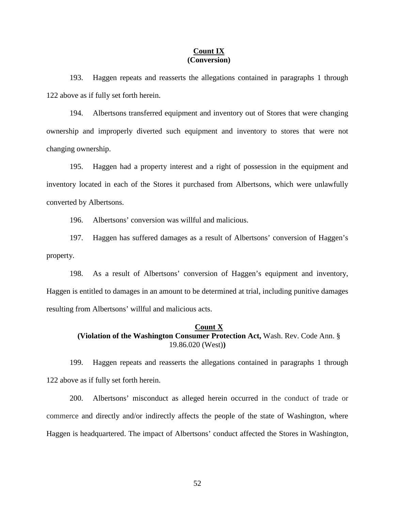### **Count IX (Conversion)**

193. Haggen repeats and reasserts the allegations contained in paragraphs 1 through 122 above as if fully set forth herein.

194. Albertsons transferred equipment and inventory out of Stores that were changing ownership and improperly diverted such equipment and inventory to stores that were not changing ownership.

195. Haggen had a property interest and a right of possession in the equipment and inventory located in each of the Stores it purchased from Albertsons, which were unlawfully converted by Albertsons.

196. Albertsons' conversion was willful and malicious.

197. Haggen has suffered damages as a result of Albertsons' conversion of Haggen's property.

198. As a result of Albertsons' conversion of Haggen's equipment and inventory, Haggen is entitled to damages in an amount to be determined at trial, including punitive damages resulting from Albertsons' willful and malicious acts.

# **Count X**

# **(Violation of the Washington Consumer Protection Act,** Wash. Rev. Code Ann. § 19.86.020 (West)**)**

199. Haggen repeats and reasserts the allegations contained in paragraphs 1 through 122 above as if fully set forth herein.

200. Albertsons' misconduct as alleged herein occurred in the conduct of trade or commerce and directly and/or indirectly affects the people of the state of Washington, where Haggen is headquartered. The impact of Albertsons' conduct affected the Stores in Washington,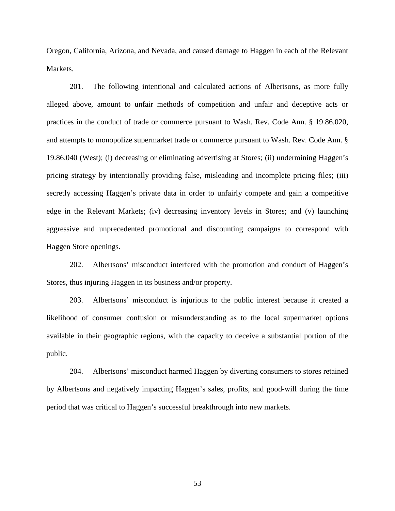Oregon, California, Arizona, and Nevada, and caused damage to Haggen in each of the Relevant Markets.

201. The following intentional and calculated actions of Albertsons, as more fully alleged above, amount to unfair methods of competition and unfair and deceptive acts or practices in the conduct of trade or commerce pursuant to Wash. Rev. Code Ann. § 19.86.020, and attempts to monopolize supermarket trade or commerce pursuant to Wash. Rev. Code Ann. § 19.86.040 (West); (i) decreasing or eliminating advertising at Stores; (ii) undermining Haggen's pricing strategy by intentionally providing false, misleading and incomplete pricing files; (iii) secretly accessing Haggen's private data in order to unfairly compete and gain a competitive edge in the Relevant Markets; (iv) decreasing inventory levels in Stores; and (v) launching aggressive and unprecedented promotional and discounting campaigns to correspond with Haggen Store openings.

202. Albertsons' misconduct interfered with the promotion and conduct of Haggen's Stores, thus injuring Haggen in its business and/or property.

203. Albertsons' misconduct is injurious to the public interest because it created a likelihood of consumer confusion or misunderstanding as to the local supermarket options available in their geographic regions, with the capacity to deceive a substantial portion of the public.

204. Albertsons' misconduct harmed Haggen by diverting consumers to stores retained by Albertsons and negatively impacting Haggen's sales, profits, and good-will during the time period that was critical to Haggen's successful breakthrough into new markets.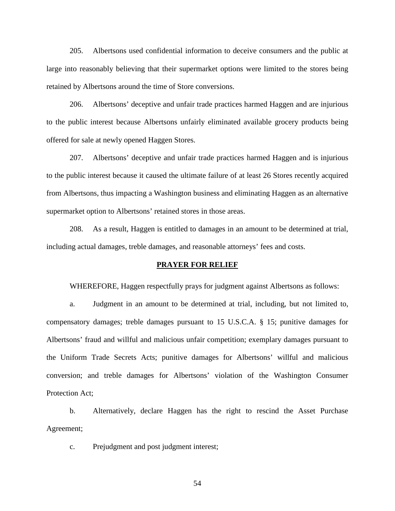205. Albertsons used confidential information to deceive consumers and the public at large into reasonably believing that their supermarket options were limited to the stores being retained by Albertsons around the time of Store conversions.

206. Albertsons' deceptive and unfair trade practices harmed Haggen and are injurious to the public interest because Albertsons unfairly eliminated available grocery products being offered for sale at newly opened Haggen Stores.

207. Albertsons' deceptive and unfair trade practices harmed Haggen and is injurious to the public interest because it caused the ultimate failure of at least 26 Stores recently acquired from Albertsons, thus impacting a Washington business and eliminating Haggen as an alternative supermarket option to Albertsons' retained stores in those areas.

208. As a result, Haggen is entitled to damages in an amount to be determined at trial, including actual damages, treble damages, and reasonable attorneys' fees and costs.

### **PRAYER FOR RELIEF**

WHEREFORE, Haggen respectfully prays for judgment against Albertsons as follows:

a. Judgment in an amount to be determined at trial, including, but not limited to, compensatory damages; treble damages pursuant to 15 U.S.C.A. § 15; punitive damages for Albertsons' fraud and willful and malicious unfair competition; exemplary damages pursuant to the Uniform Trade Secrets Acts; punitive damages for Albertsons' willful and malicious conversion; and treble damages for Albertsons' violation of the Washington Consumer Protection Act;

b. Alternatively, declare Haggen has the right to rescind the Asset Purchase Agreement;

c. Prejudgment and post judgment interest;